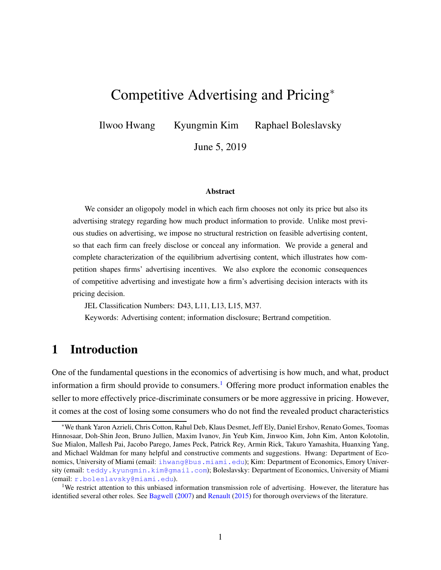# Competitive Advertising and Pricing<sup>∗</sup>

Ilwoo Hwang Kyungmin Kim Raphael Boleslavsky

June 5, 2019

#### Abstract

We consider an oligopoly model in which each firm chooses not only its price but also its advertising strategy regarding how much product information to provide. Unlike most previous studies on advertising, we impose no structural restriction on feasible advertising content, so that each firm can freely disclose or conceal any information. We provide a general and complete characterization of the equilibrium advertising content, which illustrates how competition shapes firms' advertising incentives. We also explore the economic consequences of competitive advertising and investigate how a firm's advertising decision interacts with its pricing decision.

JEL Classification Numbers: D43, L11, L13, L15, M37.

Keywords: Advertising content; information disclosure; Bertrand competition.

## 1 Introduction

One of the fundamental questions in the economics of advertising is how much, and what, product information a firm should provide to consumers.<sup>[1](#page-0-0)</sup> Offering more product information enables the seller to more effectively price-discriminate consumers or be more aggressive in pricing. However, it comes at the cost of losing some consumers who do not find the revealed product characteristics

<sup>∗</sup>We thank Yaron Azrieli, Chris Cotton, Rahul Deb, Klaus Desmet, Jeff Ely, Daniel Ershov, Renato Gomes, Toomas Hinnosaar, Doh-Shin Jeon, Bruno Jullien, Maxim Ivanov, Jin Yeub Kim, Jinwoo Kim, John Kim, Anton Kolotolin, Sue Mialon, Mallesh Pai, Jacobo Parego, James Peck, Patrick Rey, Armin Rick, Takuro Yamashita, Huanxing Yang, and Michael Waldman for many helpful and constructive comments and suggestions. Hwang: Department of Economics, University of Miami (email: [ihwang@bus.miami.edu](mailto:ihwang@bus.miami.edu)); Kim: Department of Economics, Emory University (email: [teddy.kyungmin.kim@gmail.com](mailto:teddy.kyungmin.kim@gmail.com)); Boleslavsky: Department of Economics, University of Miami (email: [r.boleslavsky@miami.edu](mailto:r.boleslavsky@miami.edu)).

<span id="page-0-0"></span><sup>&</sup>lt;sup>1</sup>We restrict attention to this unbiased information transmission role of advertising. However, the literature has identified several other roles. See [Bagwell](#page-43-0) [\(2007](#page-43-0)) and [Renault](#page-45-0) [\(2015\)](#page-45-0) for thorough overviews of the literature.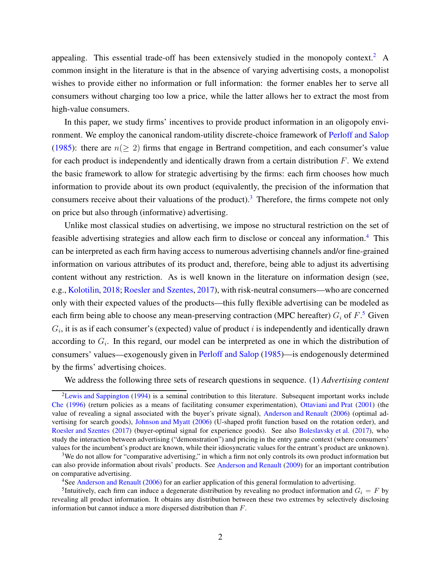appealing. This essential trade-off has been extensively studied in the monopoly context.<sup>[2](#page-1-0)</sup> A common insight in the literature is that in the absence of varying advertising costs, a monopolist wishes to provide either no information or full information: the former enables her to serve all consumers without charging too low a price, while the latter allows her to extract the most from high-value consumers.

In this paper, we study firms' incentives to provide product information in an oligopoly environment. We employ the canonical random-utility discrete-choice framework of [Perloff and Salop](#page-45-1) [\(1985\)](#page-45-1): there are  $n(\geq 2)$  firms that engage in Bertrand competition, and each consumer's value for each product is independently and identically drawn from a certain distribution  $F$ . We extend the basic framework to allow for strategic advertising by the firms: each firm chooses how much information to provide about its own product (equivalently, the precision of the information that consumers receive about their valuations of the product).<sup>[3](#page-1-1)</sup> Therefore, the firms compete not only on price but also through (informative) advertising.

Unlike most classical studies on advertising, we impose no structural restriction on the set of feasible advertising strategies and allow each firm to disclose or conceal any information.[4](#page-1-2) This can be interpreted as each firm having access to numerous advertising channels and/or fine-grained information on various attributes of its product and, therefore, being able to adjust its advertising content without any restriction. As is well known in the literature on information design (see, e.g., [Kolotilin,](#page-44-0) [2018;](#page-44-0) [Roesler and Szentes](#page-45-2), [2017\)](#page-45-2), with risk-neutral consumers—who are concerned only with their expected values of the products—this fully flexible advertising can be modeled as each firm being able to choose any mean-preserving contraction (MPC hereafter)  $G_i$  of  $F^{\text{S}}$  Given  $G_i$ , it is as if each consumer's (expected) value of product i is independently and identically drawn according to  $G_i$ . In this regard, our model can be interpreted as one in which the distribution of consumers' values—exogenously given in [Perloff and Salop](#page-45-1) [\(1985](#page-45-1))—is endogenously determined by the firms' advertising choices.

We address the following three sets of research questions in sequence. (1) *Advertising content*

<span id="page-1-2"></span><sup>4</sup>See [Anderson and Renault](#page-43-1) [\(2006\)](#page-43-1) for an earlier application of this general formulation to advertising.

<span id="page-1-0"></span><sup>&</sup>lt;sup>2</sup>[Lewis and Sappington](#page-44-1) [\(1994\)](#page-44-1) is a seminal contribution to this literature. Subsequent important works include [Che](#page-44-2) [\(1996\)](#page-44-2) (return policies as a means of facilitating consumer experimentation), [Ottaviani and Prat](#page-45-3) [\(2001](#page-45-3)) (the value of revealing a signal associated with the buyer's private signal), [Anderson and Renault](#page-43-1) [\(2006\)](#page-43-1) (optimal advertising for search goods), [Johnson and Myatt](#page-44-3) [\(2006\)](#page-44-3) (U-shaped profit function based on the rotation order), and [Roesler and Szentes](#page-45-2) [\(2017\)](#page-45-2) (buyer-optimal signal for experience goods). See also [Boleslavsky et al.](#page-44-4) [\(2017\)](#page-44-4), who study the interaction between advertising ("demonstration") and pricing in the entry game context (where consumers' values for the incumbent's product are known, while their idiosyncratic values for the entrant's product are unknown).

<span id="page-1-1"></span><sup>&</sup>lt;sup>3</sup>We do not allow for "comparative advertising," in which a firm not only controls its own product information but can also provide information about rivals' products. See [Anderson and Renault](#page-43-2) [\(2009](#page-43-2)) for an important contribution on comparative advertising.

<span id="page-1-3"></span><sup>&</sup>lt;sup>5</sup>Intuitively, each firm can induce a degenerate distribution by revealing no product information and  $G_i = F$  by revealing all product information. It obtains any distribution between these two extremes by selectively disclosing information but cannot induce a more dispersed distribution than F.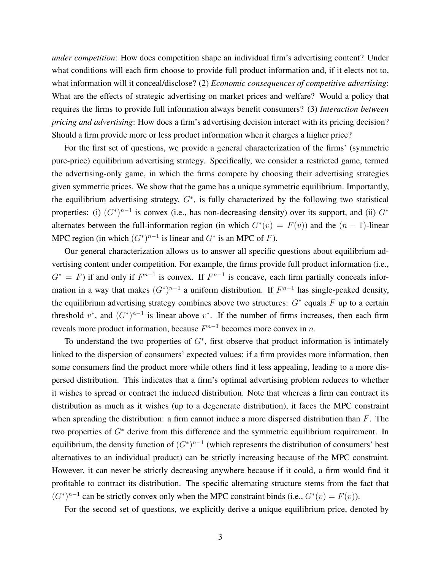*under competition*: How does competition shape an individual firm's advertising content? Under what conditions will each firm choose to provide full product information and, if it elects not to, what information will it conceal/disclose? (2) *Economic consequences of competitive advertising*: What are the effects of strategic advertising on market prices and welfare? Would a policy that requires the firms to provide full information always benefit consumers? (3) *Interaction between pricing and advertising*: How does a firm's advertising decision interact with its pricing decision? Should a firm provide more or less product information when it charges a higher price?

For the first set of questions, we provide a general characterization of the firms' (symmetric pure-price) equilibrium advertising strategy. Specifically, we consider a restricted game, termed the advertising-only game, in which the firms compete by choosing their advertising strategies given symmetric prices. We show that the game has a unique symmetric equilibrium. Importantly, the equilibrium advertising strategy,  $G^*$ , is fully characterized by the following two statistical properties: (i)  $(G^*)^{n-1}$  is convex (i.e., has non-decreasing density) over its support, and (ii)  $G^*$ alternates between the full-information region (in which  $G^*(v) = F(v)$ ) and the  $(n - 1)$ -linear MPC region (in which  $(G^*)^{n-1}$  is linear and  $G^*$  is an MPC of F).

Our general characterization allows us to answer all specific questions about equilibrium advertising content under competition. For example, the firms provide full product information (i.e.,  $G^* = F$ ) if and only if  $F^{n-1}$  is convex. If  $F^{n-1}$  is concave, each firm partially conceals information in a way that makes  $(G^*)^{n-1}$  a uniform distribution. If  $F^{n-1}$  has single-peaked density, the equilibrium advertising strategy combines above two structures:  $G^*$  equals F up to a certain threshold  $v^*$ , and  $(G^*)^{n-1}$  is linear above  $v^*$ . If the number of firms increases, then each firm reveals more product information, because  $F^{n-1}$  becomes more convex in n.

To understand the two properties of  $G^*$ , first observe that product information is intimately linked to the dispersion of consumers' expected values: if a firm provides more information, then some consumers find the product more while others find it less appealing, leading to a more dispersed distribution. This indicates that a firm's optimal advertising problem reduces to whether it wishes to spread or contract the induced distribution. Note that whereas a firm can contract its distribution as much as it wishes (up to a degenerate distribution), it faces the MPC constraint when spreading the distribution: a firm cannot induce a more dispersed distribution than F. The two properties of  $G^*$  derive from this difference and the symmetric equilibrium requirement. In equilibrium, the density function of  $(G^*)^{n-1}$  (which represents the distribution of consumers' best alternatives to an individual product) can be strictly increasing because of the MPC constraint. However, it can never be strictly decreasing anywhere because if it could, a firm would find it profitable to contract its distribution. The specific alternating structure stems from the fact that  $(G^*)^{n-1}$  can be strictly convex only when the MPC constraint binds (i.e.,  $G^*(v) = F(v)$ ).

For the second set of questions, we explicitly derive a unique equilibrium price, denoted by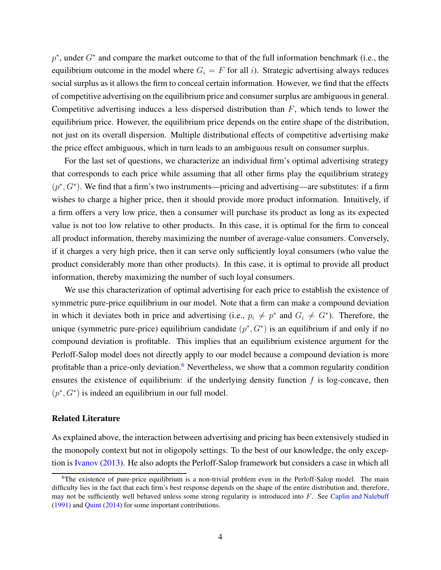$p^*$ , under  $G^*$  and compare the market outcome to that of the full information benchmark (i.e., the equilibrium outcome in the model where  $G_i = F$  for all i). Strategic advertising always reduces social surplus as it allows the firm to conceal certain information. However, we find that the effects of competitive advertising on the equilibrium price and consumer surplus are ambiguous in general. Competitive advertising induces a less dispersed distribution than  $F$ , which tends to lower the equilibrium price. However, the equilibrium price depends on the entire shape of the distribution, not just on its overall dispersion. Multiple distributional effects of competitive advertising make the price effect ambiguous, which in turn leads to an ambiguous result on consumer surplus.

For the last set of questions, we characterize an individual firm's optimal advertising strategy that corresponds to each price while assuming that all other firms play the equilibrium strategy  $(p^*, G^*)$ . We find that a firm's two instruments—pricing and advertising—are substitutes: if a firm wishes to charge a higher price, then it should provide more product information. Intuitively, if a firm offers a very low price, then a consumer will purchase its product as long as its expected value is not too low relative to other products. In this case, it is optimal for the firm to conceal all product information, thereby maximizing the number of average-value consumers. Conversely, if it charges a very high price, then it can serve only sufficiently loyal consumers (who value the product considerably more than other products). In this case, it is optimal to provide all product information, thereby maximizing the number of such loyal consumers.

We use this characterization of optimal advertising for each price to establish the existence of symmetric pure-price equilibrium in our model. Note that a firm can make a compound deviation in which it deviates both in price and advertising (i.e.,  $p_i \neq p^*$  and  $G_i \neq G^*$ ). Therefore, the unique (symmetric pure-price) equilibrium candidate  $(p^*, G^*)$  is an equilibrium if and only if no compound deviation is profitable. This implies that an equilibrium existence argument for the Perloff-Salop model does not directly apply to our model because a compound deviation is more profitable than a price-only deviation.<sup>[6](#page-3-0)</sup> Nevertheless, we show that a common regularity condition ensures the existence of equilibrium: if the underlying density function  $f$  is log-concave, then  $(p^*, G^*)$  is indeed an equilibrium in our full model.

#### Related Literature

As explained above, the interaction between advertising and pricing has been extensively studied in the monopoly context but not in oligopoly settings. To the best of our knowledge, the only exception is [Ivanov](#page-44-5) [\(2013\)](#page-44-5). He also adopts the Perloff-Salop framework but considers a case in which all

<span id="page-3-0"></span><sup>&</sup>lt;sup>6</sup>The existence of pure-price equilibrium is a non-trivial problem even in the Perloff-Salop model. The main difficulty lies in the fact that each firm's best response depends on the shape of the entire distribution and, therefore, may not be sufficiently well behaved unless some strong regularity is introduced into F. See [Caplin and Nalebuff](#page-44-6) [\(1991\)](#page-44-6) and [Quint](#page-45-4) [\(2014\)](#page-45-4) for some important contributions.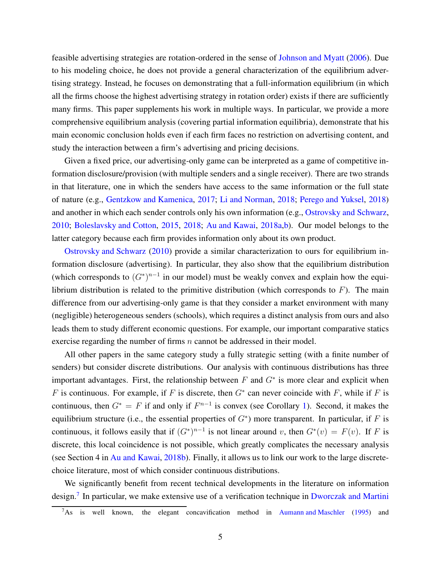feasible advertising strategies are rotation-ordered in the sense of [Johnson and Myatt](#page-44-3) [\(2006](#page-44-3)). Due to his modeling choice, he does not provide a general characterization of the equilibrium advertising strategy. Instead, he focuses on demonstrating that a full-information equilibrium (in which all the firms choose the highest advertising strategy in rotation order) exists if there are sufficiently many firms. This paper supplements his work in multiple ways. In particular, we provide a more comprehensive equilibrium analysis (covering partial information equilibria), demonstrate that his main economic conclusion holds even if each firm faces no restriction on advertising content, and study the interaction between a firm's advertising and pricing decisions.

Given a fixed price, our advertising-only game can be interpreted as a game of competitive information disclosure/provision (with multiple senders and a single receiver). There are two strands in that literature, one in which the senders have access to the same information or the full state of nature (e.g., [Gentzkow and Kamenica,](#page-44-7) [2017;](#page-44-7) [Li and Norman,](#page-44-8) [2018](#page-44-8); [Perego and Yuksel](#page-45-5), [2018](#page-45-5)) and another in which each sender controls only his own information (e.g., [Ostrovsky and Schwarz](#page-45-6), [2010;](#page-45-6) [Boleslavsky and Cotton](#page-43-3), [2015](#page-43-3), [2018](#page-43-4); [Au and Kawai](#page-43-5), [2018a](#page-43-5)[,b](#page-43-6)). Our model belongs to the latter category because each firm provides information only about its own product.

[Ostrovsky and Schwarz](#page-45-6) [\(2010\)](#page-45-6) provide a similar characterization to ours for equilibrium information disclosure (advertising). In particular, they also show that the equilibrium distribution (which corresponds to  $(G^*)^{n-1}$  in our model) must be weakly convex and explain how the equilibrium distribution is related to the primitive distribution (which corresponds to  $F$ ). The main difference from our advertising-only game is that they consider a market environment with many (negligible) heterogeneous senders (schools), which requires a distinct analysis from ours and also leads them to study different economic questions. For example, our important comparative statics exercise regarding the number of firms *n* cannot be addressed in their model.

All other papers in the same category study a fully strategic setting (with a finite number of senders) but consider discrete distributions. Our analysis with continuous distributions has three important advantages. First, the relationship between  $F$  and  $G^*$  is more clear and explicit when F is continuous. For example, if F is discrete, then  $G^*$  can never coincide with F, while if F is continuous, then  $G^* = F$  if and only if  $F^{n-1}$  is convex (see Corollary [1\)](#page-8-0). Second, it makes the equilibrium structure (i.e., the essential properties of  $G^*$ ) more transparent. In particular, if F is continuous, it follows easily that if  $(G^*)^{n-1}$  is not linear around v, then  $G^*(v) = F(v)$ . If F is discrete, this local coincidence is not possible, which greatly complicates the necessary analysis (see Section 4 in [Au and Kawai](#page-43-6), [2018b\)](#page-43-6). Finally, it allows us to link our work to the large discretechoice literature, most of which consider continuous distributions.

We significantly benefit from recent technical developments in the literature on information design.<sup>[7](#page-4-0)</sup> In particular, we make extensive use of a verification technique in [Dworczak and Martini](#page-44-9)

<span id="page-4-0"></span> $7As$  is well known, the elegant concavification method in [Aumann and Maschler](#page-43-7) [\(1995](#page-43-7)) and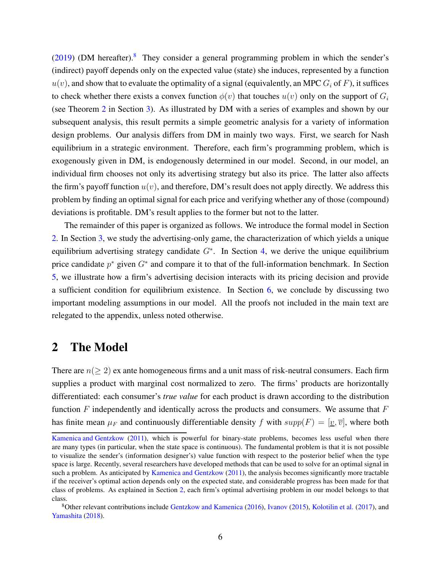$(2019)$  (DM hereafter).<sup>[8](#page-5-0)</sup> They consider a general programming problem in which the sender's (indirect) payoff depends only on the expected value (state) she induces, represented by a function  $u(v)$ , and show that to evaluate the optimality of a signal (equivalently, an MPC  $G_i$  of F), it suffices to check whether there exists a convex function  $\phi(v)$  that touches  $u(v)$  only on the support of  $G_i$ (see Theorem [2](#page-12-0) in Section [3\)](#page-7-0). As illustrated by DM with a series of examples and shown by our subsequent analysis, this result permits a simple geometric analysis for a variety of information design problems. Our analysis differs from DM in mainly two ways. First, we search for Nash equilibrium in a strategic environment. Therefore, each firm's programming problem, which is exogenously given in DM, is endogenously determined in our model. Second, in our model, an individual firm chooses not only its advertising strategy but also its price. The latter also affects the firm's payoff function  $u(v)$ , and therefore, DM's result does not apply directly. We address this problem by finding an optimal signal for each price and verifying whether any of those (compound) deviations is profitable. DM's result applies to the former but not to the latter.

The remainder of this paper is organized as follows. We introduce the formal model in Section [2.](#page-5-1) In Section [3,](#page-7-0) we study the advertising-only game, the characterization of which yields a unique equilibrium advertising strategy candidate  $G^*$ . In Section [4,](#page-18-0) we derive the unique equilibrium price candidate  $p^*$  given  $G^*$  and compare it to that of the full-information benchmark. In Section [5,](#page-22-0) we illustrate how a firm's advertising decision interacts with its pricing decision and provide a sufficient condition for equilibrium existence. In Section [6,](#page-27-0) we conclude by discussing two important modeling assumptions in our model. All the proofs not included in the main text are relegated to the appendix, unless noted otherwise.

## <span id="page-5-1"></span>2 The Model

There are  $n(\geq 2)$  ex ante homogeneous firms and a unit mass of risk-neutral consumers. Each firm supplies a product with marginal cost normalized to zero. The firms' products are horizontally differentiated: each consumer's *true value* for each product is drawn according to the distribution function  $F$  independently and identically across the products and consumers. We assume that  $F$ has finite mean  $\mu_F$  and continuously differentiable density f with  $supp(F) = [v, \overline{v}]$ , where both

[Kamenica and Gentzkow](#page-44-10) [\(2011\)](#page-44-10), which is powerful for binary-state problems, becomes less useful when there are many types (in particular, when the state space is continuous). The fundamental problem is that it is not possible to visualize the sender's (information designer's) value function with respect to the posterior belief when the type space is large. Recently, several researchers have developed methods that can be used to solve for an optimal signal in such a problem. As anticipated by [Kamenica and Gentzkow](#page-44-10) [\(2011\)](#page-44-10), the analysis becomes significantly more tractable if the receiver's optimal action depends only on the expected state, and considerable progress has been made for that class of problems. As explained in Section [2,](#page-5-1) each firm's optimal advertising problem in our model belongs to that class.

<span id="page-5-0"></span><sup>8</sup>Other relevant contributions include [Gentzkow and Kamenica](#page-44-11) [\(2016](#page-44-11)), [Ivanov](#page-44-12) [\(2015\)](#page-44-12), [Kolotilin et al.](#page-44-13) [\(2017](#page-44-13)), and [Yamashita](#page-45-7) [\(2018\)](#page-45-7).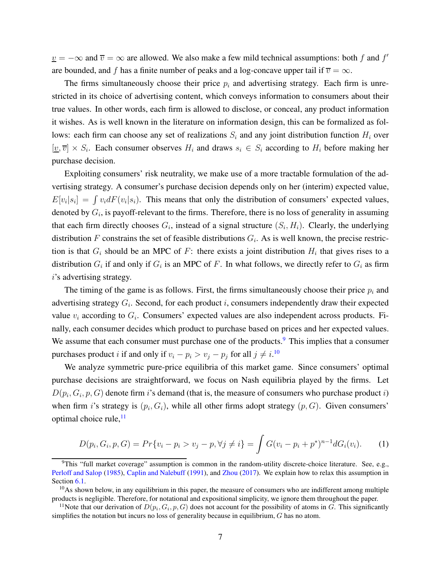$\underline{v} = -\infty$  and  $\overline{v} = \infty$  are allowed. We also make a few mild technical assumptions: both f and f' are bounded, and f has a finite number of peaks and a log-concave upper tail if  $\overline{v} = \infty$ .

The firms simultaneously choose their price  $p_i$  and advertising strategy. Each firm is unrestricted in its choice of advertising content, which conveys information to consumers about their true values. In other words, each firm is allowed to disclose, or conceal, any product information it wishes. As is well known in the literature on information design, this can be formalized as follows: each firm can choose any set of realizations  $S_i$  and any joint distribution function  $H_i$  over  $[v, \overline{v}] \times S_i$ . Each consumer observes  $H_i$  and draws  $s_i \in S_i$  according to  $H_i$  before making her purchase decision.

Exploiting consumers' risk neutrality, we make use of a more tractable formulation of the advertising strategy. A consumer's purchase decision depends only on her (interim) expected value,  $E[v_i|s_i] = \int v_i dF(v_i|s_i)$ . This means that only the distribution of consumers' expected values, denoted by  $G_i$ , is payoff-relevant to the firms. Therefore, there is no loss of generality in assuming that each firm directly chooses  $G_i$ , instead of a signal structure  $(S_i, H_i)$ . Clearly, the underlying distribution F constrains the set of feasible distributions  $G_i$ . As is well known, the precise restriction is that  $G_i$  should be an MPC of F: there exists a joint distribution  $H_i$  that gives rises to a distribution  $G_i$  if and only if  $G_i$  is an MPC of F. In what follows, we directly refer to  $G_i$  as firm i's advertising strategy.

The timing of the game is as follows. First, the firms simultaneously choose their price  $p_i$  and advertising strategy  $G_i$ . Second, for each product i, consumers independently draw their expected value  $v_i$  according to  $G_i$ . Consumers' expected values are also independent across products. Finally, each consumer decides which product to purchase based on prices and her expected values. We assume that each consumer must purchase one of the products.<sup>[9](#page-6-0)</sup> This implies that a consumer purchases product *i* if and only if  $v_i - p_i > v_j - p_j$  for all  $j \neq i$ .<sup>[10](#page-6-1)</sup>

We analyze symmetric pure-price equilibria of this market game. Since consumers' optimal purchase decisions are straightforward, we focus on Nash equilibria played by the firms. Let  $D(p_i, G_i, p, G)$  denote firm i's demand (that is, the measure of consumers who purchase product i) when firm *i*'s strategy is  $(p_i, G_i)$ , while all other firms adopt strategy  $(p, G)$ . Given consumers' optimal choice rule, $^{11}$  $^{11}$  $^{11}$ 

$$
D(p_i, G_i, p, G) = Pr\{v_i - p_i > v_j - p, \forall j \neq i\} = \int G(v_i - p_i + p^*)^{n-1} dG_i(v_i).
$$
 (1)

<span id="page-6-0"></span> $9$ This "full market coverage" assumption is common in the random-utility discrete-choice literature. See, e.g., [Perloff and Salop](#page-45-1) [\(1985\)](#page-45-1), [Caplin and Nalebuff](#page-44-6) [\(1991](#page-44-6)), and [Zhou](#page-45-8) [\(2017](#page-45-8)). We explain how to relax this assumption in Section [6.1.](#page-27-1)

<span id="page-6-1"></span> $10$ As shown below, in any equilibrium in this paper, the measure of consumers who are indifferent among multiple products is negligible. Therefore, for notational and expositional simplicity, we ignore them throughout the paper.

<span id="page-6-2"></span><sup>&</sup>lt;sup>11</sup>Note that our derivation of  $D(p_i, G_i, p, G)$  does not account for the possibility of atoms in G. This significantly simplifies the notation but incurs no loss of generality because in equilibrium, G has no atom.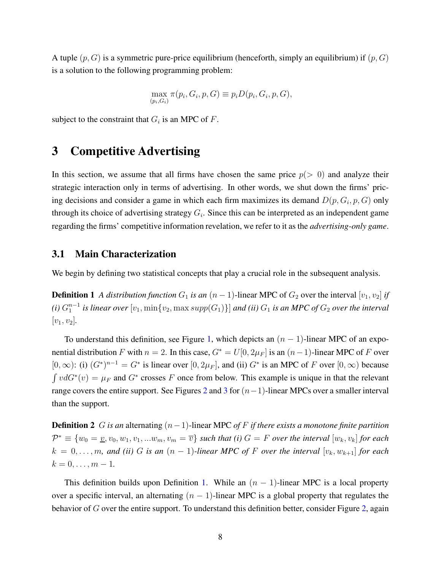A tuple  $(p, G)$  is a symmetric pure-price equilibrium (henceforth, simply an equilibrium) if  $(p, G)$ is a solution to the following programming problem:

$$
\max_{(p_i, G_i)} \pi(p_i, G_i, p, G) \equiv p_i D(p_i, G_i, p, G),
$$

<span id="page-7-0"></span>subject to the constraint that  $G_i$  is an MPC of F.

## 3 Competitive Advertising

In this section, we assume that all firms have chosen the same price  $p(> 0)$  and analyze their strategic interaction only in terms of advertising. In other words, we shut down the firms' pricing decisions and consider a game in which each firm maximizes its demand  $D(p, G_i, p, G)$  only through its choice of advertising strategy  $G_i$ . Since this can be interpreted as an independent game regarding the firms' competitive information revelation, we refer to it as the *advertising-only game*.

### 3.1 Main Characterization

<span id="page-7-1"></span>We begin by defining two statistical concepts that play a crucial role in the subsequent analysis.

**Definition 1** *A distribution function*  $G_1$  *is an*  $(n - 1)$ -linear MPC of  $G_2$  over the interval  $[v_1, v_2]$  *if* (*i*)  $G_1^{n-1}$  *is linear over*  $[v_1, \min\{v_2, \max supp(G_1)\}]$  *and (ii)*  $G_1$  *is an MPC of*  $G_2$  *over the interval*  $[v_1, v_2]$ .

To understand this definition, see Figure [1,](#page-8-1) which depicts an  $(n - 1)$ -linear MPC of an exponential distribution F with  $n = 2$ . In this case,  $G^* = U[0, 2\mu_F]$  is an  $(n-1)$ -linear MPC of F over  $[0, \infty)$ : (i)  $(G^*)^{n-1} = G^*$  is linear over  $[0, 2\mu_F]$ , and (ii)  $G^*$  is an MPC of F over  $[0, \infty)$  because  $\int v dG^*(v) = \mu_F$  and  $G^*$  crosses F once from below. This example is unique in that the relevant range covers the entire support. See Figures [2](#page-9-0) and [3](#page-10-0) for  $(n-1)$ -linear MPCs over a smaller interval than the support.

Definition 2 G *is an* alternating (n−1)-linear MPC *of* F *if there exists a monotone finite partition*  $\mathcal{P}^* \equiv \{w_0 = \underline{v}, v_0, w_1, v_1, ... w_m, v_m = \overline{v}\}$  such that (i)  $G = F$  over the interval  $[w_k, v_k]$  for each  $k = 0, \ldots, m$ , and (ii) G is an  $(n - 1)$ -linear MPC of F over the interval  $[v_k, w_{k+1}]$  for each  $k = 0, \ldots, m - 1.$ 

This definition builds upon Definition [1.](#page-7-1) While an  $(n - 1)$ -linear MPC is a local property over a specific interval, an alternating  $(n - 1)$ -linear MPC is a global property that regulates the behavior of G over the entire support. To understand this definition better, consider Figure [2,](#page-9-0) again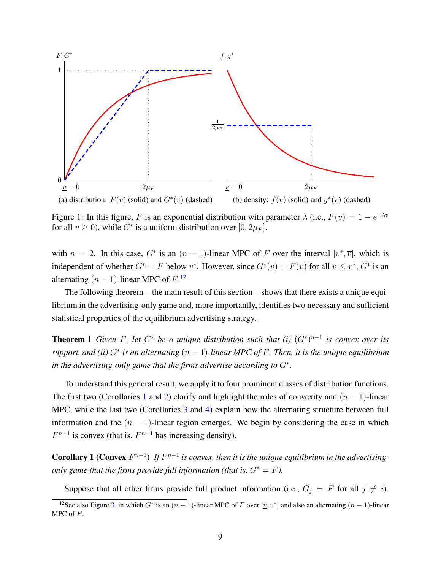<span id="page-8-1"></span>

Figure 1: In this figure, F is an exponential distribution with parameter  $\lambda$  (i.e.,  $F(v) = 1 - e^{-\lambda v}$ for all  $v \ge 0$ ), while  $G^*$  is a uniform distribution over  $[0, 2\mu_F]$ .

with  $n = 2$ . In this case,  $G^*$  is an  $(n - 1)$ -linear MPC of F over the interval  $[v^*, \overline{v}]$ , which is independent of whether  $G^* = F$  below  $v^*$ . However, since  $G^*(v) = F(v)$  for all  $v \leq v^*$ ,  $G^*$  is an alternating  $(n-1)$ -linear MPC of  $F<sup>12</sup>$  $F<sup>12</sup>$  $F<sup>12</sup>$ 

The following theorem—the main result of this section—shows that there exists a unique equilibrium in the advertising-only game and, more importantly, identifies two necessary and sufficient statistical properties of the equilibrium advertising strategy.

<span id="page-8-3"></span>**Theorem 1** Given F, let  $G^*$  be a unique distribution such that (i)  $(G^*)^{n-1}$  is convex over its *support, and (ii)*  $G^*$  *is an alternating*  $(n-1)$ *-linear MPC of F . Then, it is the unique equilibrium in the advertising-only game that the firms advertise according to*  $G^*$ .

To understand this general result, we apply it to four prominent classes of distribution functions. The first two (Corollaries [1](#page-8-0) and [2\)](#page-9-1) clarify and highlight the roles of convexity and  $(n - 1)$ -linear MPC, while the last two (Corollaries [3](#page-10-1) and [4\)](#page-10-2) explain how the alternating structure between full information and the  $(n - 1)$ -linear region emerges. We begin by considering the case in which  $F^{n-1}$  is convex (that is,  $F^{n-1}$  has increasing density).

<span id="page-8-0"></span>**Corollary 1** (**Convex**  $F^{n-1}$ ) If  $F^{n-1}$  is convex, then it is the unique equilibrium in the advertising*only game that the firms provide full information (that is,*  $G^* = F$ ).

Suppose that all other firms provide full product information (i.e.,  $G_j = F$  for all  $j \neq i$ ).

<span id="page-8-2"></span><sup>&</sup>lt;sup>12</sup>See also Figure [3,](#page-10-0) in which  $G^*$  is an  $(n-1)$ -linear MPC of F over  $[\underline{v}, v^*]$  and also an alternating  $(n-1)$ -linear MPC of F.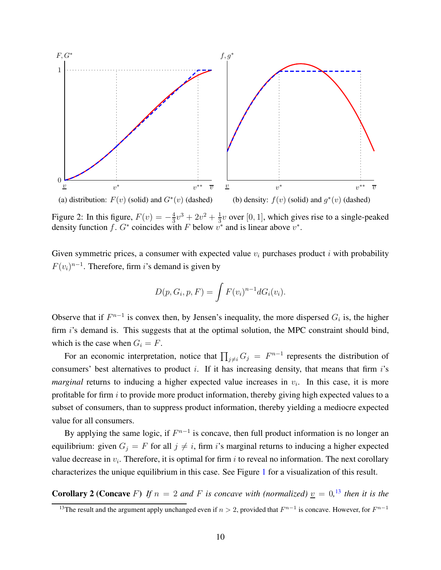<span id="page-9-0"></span>

Figure 2: In this figure,  $F(v) = -\frac{4}{3}$  $\frac{4}{3}v^3+2v^2+\frac{1}{3}$  $\frac{1}{3}v$  over [0, 1], which gives rise to a single-peaked density function f.  $G^*$  coincides with F below  $v^*$  and is linear above  $v^*$ .

Given symmetric prices, a consumer with expected value  $v_i$  purchases product i with probability  $F(v_i)^{n-1}$ . Therefore, firm i's demand is given by

$$
D(p, G_i, p, F) = \int F(v_i)^{n-1} dG_i(v_i).
$$

Observe that if  $F^{n-1}$  is convex then, by Jensen's inequality, the more dispersed  $G_i$  is, the higher firm i's demand is. This suggests that at the optimal solution, the MPC constraint should bind, which is the case when  $G_i = F$ .

For an economic interpretation, notice that  $\prod_{j\neq i} G_j = F^{n-1}$  represents the distribution of consumers' best alternatives to product  $i$ . If it has increasing density, that means that firm  $i$ 's *marginal* returns to inducing a higher expected value increases in  $v_i$ . In this case, it is more profitable for firm  $i$  to provide more product information, thereby giving high expected values to a subset of consumers, than to suppress product information, thereby yielding a mediocre expected value for all consumers.

By applying the same logic, if  $F^{n-1}$  is concave, then full product information is no longer an equilibrium: given  $G_j = F$  for all  $j \neq i$ , firm i's marginal returns to inducing a higher expected value decrease in  $v_i$ . Therefore, it is optimal for firm i to reveal no information. The next corollary characterizes the unique equilibrium in this case. See Figure [1](#page-8-1) for a visualization of this result.

<span id="page-9-1"></span>**Corollary 2 (Concave** F) If  $n = 2$  and F is concave with (normalized)  $\mathbf{v} = 0$ , <sup>[13](#page-9-2)</sup> then it is the

<span id="page-9-2"></span><sup>&</sup>lt;sup>13</sup>The result and the argument apply unchanged even if  $n > 2$ , provided that  $F^{n-1}$  is concave. However, for  $F^{n-1}$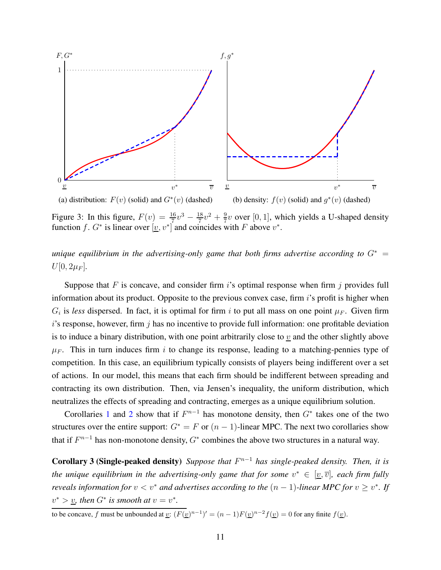<span id="page-10-0"></span>

Figure 3: In this figure,  $F(v) = \frac{16}{7}v^3 - \frac{18}{7}$  $\frac{18}{7}v^2 + \frac{9}{7}$  $\frac{9}{7}v$  over [0, 1], which yields a U-shaped density function f.  $G^*$  is linear over  $[\underline{v}, v^*]$  and coincides with F above  $v^*$ .

*unique equilibrium in the advertising-only game that both firms advertise according to*  $G^*$  =  $U[0, 2\mu_F]$ .

Suppose that F is concave, and consider firm is optimal response when firm j provides full information about its product. Opposite to the previous convex case, firm i's profit is higher when  $G_i$  is less dispersed. In fact, it is optimal for firm i to put all mass on one point  $\mu_F$ . Given firm  $i$ 's response, however, firm  $j$  has no incentive to provide full information: one profitable deviation is to induce a binary distribution, with one point arbitrarily close to  $v$  and the other slightly above  $\mu_F$ . This in turn induces firm i to change its response, leading to a matching-pennies type of competition. In this case, an equilibrium typically consists of players being indifferent over a set of actions. In our model, this means that each firm should be indifferent between spreading and contracting its own distribution. Then, via Jensen's inequality, the uniform distribution, which neutralizes the effects of spreading and contracting, emerges as a unique equilibrium solution.

Corollaries [1](#page-8-0) and [2](#page-9-1) show that if  $F^{n-1}$  has monotone density, then  $G^*$  takes one of the two structures over the entire support:  $G^* = F$  or  $(n - 1)$ -linear MPC. The next two corollaries show that if  $F^{n-1}$  has non-monotone density,  $G^*$  combines the above two structures in a natural way.

<span id="page-10-1"></span>**Corollary 3 (Single-peaked density)** Suppose that  $F^{n-1}$  has single-peaked density. Then, it is the unique equilibrium in the advertising-only game that for some  $v^* \in [\underline{v}, \overline{v}]$ , each firm fully *reveals information for*  $v < v^*$  *and advertises according to the*  $(n - 1)$ -linear MPC for  $v \geq v^*$ . If  $v^* > v$ , then  $G^*$  is smooth at  $v = v^*$ .

<span id="page-10-2"></span>to be concave, f must be unbounded at  $\underline{v}$ :  $(F(\underline{v})^{n-1})' = (n-1)F(\underline{v})^{n-2}f(\underline{v}) = 0$  for any finite  $f(\underline{v})$ .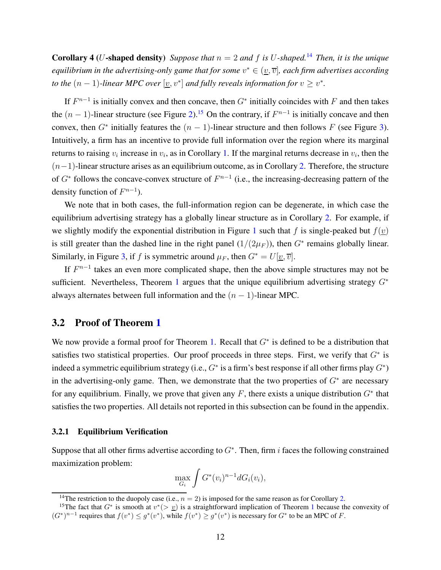**Corollary 4** (U-shaped density) *Suppose that*  $n = 2$  *and* f *is* U-shaped.<sup>[14](#page-11-0)</sup> Then, *it is the unique* equilibrium in the advertising-only game that for some  $v^* \in (\underline{v},\overline{v}]$ , each firm advertises according *to the*  $(n-1)$ -linear MPC over  $[\underline{v}, v^*]$  and fully reveals information for  $v \geq v^*$ .

If  $F^{n-1}$  is initially convex and then concave, then  $G^*$  initially coincides with F and then takes the  $(n-1)$ -linear structure (see Figure [2\)](#page-9-0).<sup>[15](#page-11-1)</sup> On the contrary, if  $F^{n-1}$  is initially concave and then convex, then  $G^*$  initially features the  $(n-1)$ -linear structure and then follows F (see Figure [3\)](#page-10-0). Intuitively, a firm has an incentive to provide full information over the region where its marginal returns to raising  $v_i$  increase in  $v_i$ , as in Corollary [1.](#page-8-0) If the marginal returns decrease in  $v_i$ , then the  $(n-1)$ -linear structure arises as an equilibrium outcome, as in Corollary [2.](#page-9-1) Therefore, the structure of  $G^*$  follows the concave-convex structure of  $F^{n-1}$  (i.e., the increasing-decreasing pattern of the density function of  $F^{n-1}$ ).

We note that in both cases, the full-information region can be degenerate, in which case the equilibrium advertising strategy has a globally linear structure as in Corollary [2.](#page-9-1) For example, if we slightly modify the exponential distribution in Figure [1](#page-8-1) such that f is single-peaked but  $f(v)$ is still greater than the dashed line in the right panel  $(1/(2\mu_F))$ , then  $G^*$  remains globally linear. Similarly, in Figure [3,](#page-10-0) if f is symmetric around  $\mu_F$ , then  $G^* = U[v, \overline{v}]$ .

If  $F^{n-1}$  takes an even more complicated shape, then the above simple structures may not be sufficient. Nevertheless, Theorem [1](#page-8-3) argues that the unique equilibrium advertising strategy  $G^*$ always alternates between full information and the  $(n - 1)$ -linear MPC.

### <span id="page-11-2"></span>3.2 Proof of Theorem [1](#page-8-3)

We now provide a formal proof for Theorem [1.](#page-8-3) Recall that  $G^*$  is defined to be a distribution that satisfies two statistical properties. Our proof proceeds in three steps. First, we verify that  $G^*$  is indeed a symmetric equilibrium strategy (i.e.,  $G^*$  is a firm's best response if all other firms play  $G^*$ ) in the advertising-only game. Then, we demonstrate that the two properties of  $G^*$  are necessary for any equilibrium. Finally, we prove that given any F, there exists a unique distribution  $G^*$  that satisfies the two properties. All details not reported in this subsection can be found in the appendix.

#### 3.2.1 Equilibrium Verification

Suppose that all other firms advertise according to  $G^*$ . Then, firm i faces the following constrained maximization problem:

$$
\max_{G_i} \int G^*(v_i)^{n-1} dG_i(v_i),
$$

<span id="page-11-0"></span><sup>&</sup>lt;sup>14</sup>The restriction to the duopoly case (i.e.,  $n = 2$ ) is imposed for the same reason as for Corollary [2.](#page-9-1)

<span id="page-11-1"></span><sup>&</sup>lt;sup>[1](#page-8-3)5</sup>The fact that  $G^*$  is smooth at  $v^*$  (>  $v$ ) is a straightforward implication of Theorem 1 because the convexity of  $(G^*)^{n-1}$  requires that  $f(v^*) \leq g^*(v^*)$ , while  $f(v^*) \geq g^*(v^*)$  is necessary for  $G^*$  to be an MPC of F.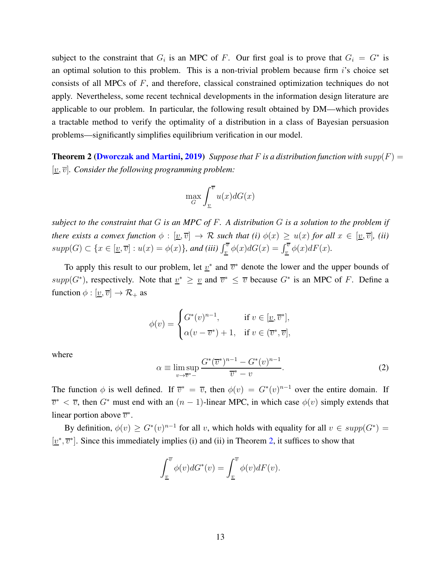subject to the constraint that  $G_i$  is an MPC of F. Our first goal is to prove that  $G_i = G^*$  is an optimal solution to this problem. This is a non-trivial problem because firm  $i$ 's choice set consists of all MPCs of F, and therefore, classical constrained optimization techniques do not apply. Nevertheless, some recent technical developments in the information design literature are applicable to our problem. In particular, the following result obtained by DM—which provides a tractable method to verify the optimality of a distribution in a class of Bayesian persuasion problems—significantly simplifies equilibrium verification in our model.

<span id="page-12-0"></span>**Theorem 2 [\(Dworczak and Martini,](#page-44-9) [2019\)](#page-44-9)** Suppose that F is a distribution function with  $supp(F)$  =  $[\underline{v}, \overline{v}]$ . Consider the following programming problem:

$$
\max_{G} \int_{\underline{v}}^{\overline{v}} u(x) dG(x)
$$

*subject to the constraint that* G *is an MPC of* F*. A distribution* G *is a solution to the problem if there exists a convex function*  $\phi : [\underline{v}, \overline{v}] \to \mathcal{R}$  *such that (i)*  $\phi(x) \ge u(x)$  *for all*  $x \in [\underline{v}, \overline{v}]$ *, (ii)*  $supp(G) \subset \{x \in [\underline{v}, \overline{v}] : u(x) = \phi(x)\}\$ , and (iii)  $\int_{\underline{v}}^{\overline{v}} \phi(x) dG(x) = \int_{\underline{v}}^{\overline{v}} \phi(x) dF(x)$ .

To apply this result to our problem, let  $v^*$  and  $\overline{v}^*$  denote the lower and the upper bounds of  $supp(G^*)$ , respectively. Note that  $\underline{v}^* \ge \underline{v}$  and  $\overline{v}^* \le \overline{v}$  because  $G^*$  is an MPC of F. Define a function  $\phi : [\underline{v}, \overline{v}] \rightarrow \mathcal{R}_+$  as

$$
\phi(v) = \begin{cases} G^*(v)^{n-1}, & \text{if } v \in [\underline{v}, \overline{v}^*], \\ \alpha(v - \overline{v}^*) + 1, & \text{if } v \in (\overline{v}^*, \overline{v}], \end{cases}
$$

where

<span id="page-12-1"></span>
$$
\alpha \equiv \limsup_{v \to \overline{v}^* -} \frac{G^*(\overline{v}^*)^{n-1} - G^*(v)^{n-1}}{\overline{v}^* - v}.
$$
 (2)

The function  $\phi$  is well defined. If  $\overline{v}^* = \overline{v}$ , then  $\phi(v) = G^*(v)^{n-1}$  over the entire domain. If  $\overline{v}^* < \overline{v}$ , then  $G^*$  must end with an  $(n-1)$ -linear MPC, in which case  $\phi(v)$  simply extends that linear portion above  $\overline{v}^*$ .

By definition,  $\phi(v) \geq G^*(v)^{n-1}$  for all v, which holds with equality for all  $v \in supp(G^*)$  $[\underline{v}^*, \overline{v}^*]$ . Since this immediately implies (i) and (ii) in Theorem [2,](#page-12-0) it suffices to show that

$$
\int_{\underline{v}}^{\overline{v}} \phi(v) dG^*(v) = \int_{\underline{v}}^{\overline{v}} \phi(v) dF(v).
$$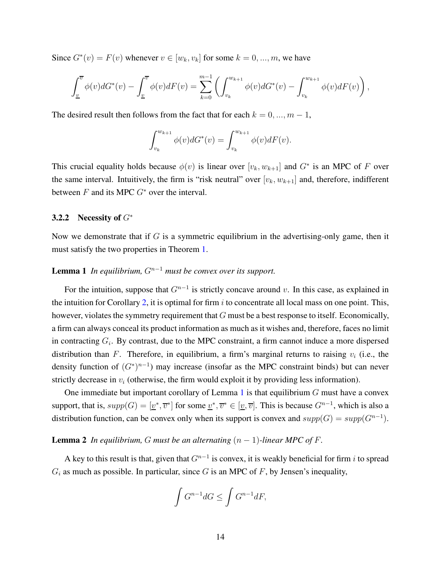Since  $G^*(v) = F(v)$  whenever  $v \in [w_k, v_k]$  for some  $k = 0, ..., m$ , we have

$$
\int_{\underline{v}}^{\overline{v}} \phi(v) dG^*(v) - \int_{\underline{v}}^{\overline{v}} \phi(v) dF(v) = \sum_{k=0}^{m-1} \left( \int_{v_k}^{w_{k+1}} \phi(v) dG^*(v) - \int_{v_k}^{w_{k+1}} \phi(v) dF(v) \right),
$$

The desired result then follows from the fact that for each  $k = 0, ..., m - 1$ ,

$$
\int_{v_k}^{w_{k+1}} \phi(v) dG^*(v) = \int_{v_k}^{w_{k+1}} \phi(v) dF(v).
$$

This crucial equality holds because  $\phi(v)$  is linear over  $[v_k, w_{k+1}]$  and  $G^*$  is an MPC of F over the same interval. Intuitively, the firm is "risk neutral" over  $[v_k, w_{k+1}]$  and, therefore, indifferent between  $F$  and its MPC  $G^*$  over the interval.

#### 3.2.2 Necessity of  $G^*$

<span id="page-13-0"></span>Now we demonstrate that if  $G$  is a symmetric equilibrium in the advertising-only game, then it must satisfy the two properties in Theorem [1.](#page-8-3)

### **Lemma 1** *In equilibrium,*  $G^{n-1}$  *must be convex over its support.*

For the intuition, suppose that  $G^{n-1}$  is strictly concave around v. In this case, as explained in the intuition for Corollary [2,](#page-9-1) it is optimal for firm  $i$  to concentrate all local mass on one point. This, however, violates the symmetry requirement that  $G$  must be a best response to itself. Economically, a firm can always conceal its product information as much as it wishes and, therefore, faces no limit in contracting  $G_i$ . By contrast, due to the MPC constraint, a firm cannot induce a more dispersed distribution than F. Therefore, in equilibrium, a firm's marginal returns to raising  $v_i$  (i.e., the density function of  $(G^*)^{n-1}$ ) may increase (insofar as the MPC constraint binds) but can never strictly decrease in  $v_i$  (otherwise, the firm would exploit it by providing less information).

One immediate but important corollary of Lemma  $1$  is that equilibrium  $G$  must have a convex support, that is,  $supp(G) = [\underline{v}^*, \overline{v}^*]$  for some  $\underline{v}^*, \overline{v}^* \in [\underline{v}, \overline{v}]$ . This is because  $G^{n-1}$ , which is also a distribution function, can be convex only when its support is convex and  $supp(G) = supp(G^{n-1})$ .

<span id="page-13-1"></span>**Lemma 2** *In equilibrium, G must be an alternating*  $(n - 1)$ *-linear MPC of F.* 

A key to this result is that, given that  $G^{n-1}$  is convex, it is weakly beneficial for firm i to spread  $G_i$  as much as possible. In particular, since G is an MPC of F, by Jensen's inequality,

$$
\int G^{n-1} dG \le \int G^{n-1} dF,
$$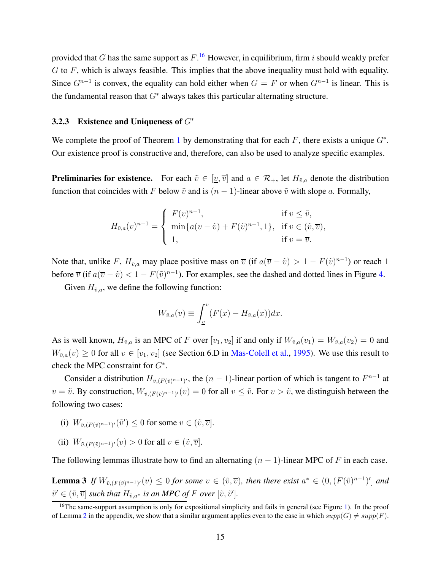provided that G has the same support as  $F<sup>16</sup>$  $F<sup>16</sup>$  $F<sup>16</sup>$  However, in equilibrium, firm i should weakly prefer  $G$  to  $F$ , which is always feasible. This implies that the above inequality must hold with equality. Since  $G^{n-1}$  is convex, the equality can hold either when  $G = F$  or when  $G^{n-1}$  is linear. This is the fundamental reason that  $G^*$  always takes this particular alternating structure.

#### <span id="page-14-3"></span>3.2.3 Existence and Uniqueness of  $G^*$

We complete the proof of Theorem [1](#page-8-3) by demonstrating that for each  $F$ , there exists a unique  $G^*$ . Our existence proof is constructive and, therefore, can also be used to analyze specific examples.

**Preliminaries for existence.** For each  $\tilde{v} \in [\underline{v}, \overline{v}]$  and  $a \in \mathcal{R}_+$ , let  $H_{\tilde{v},a}$  denote the distribution function that coincides with F below  $\tilde{v}$  and is  $(n - 1)$ -linear above  $\tilde{v}$  with slope a. Formally,

$$
H_{\tilde{v},a}(v)^{n-1} = \begin{cases} F(v)^{n-1}, & \text{if } v \le \tilde{v}, \\ \min\{a(v-\tilde{v}) + F(\tilde{v})^{n-1}, 1\}, & \text{if } v \in (\tilde{v}, \overline{v}), \\ 1, & \text{if } v = \overline{v}. \end{cases}
$$

Note that, unlike F,  $H_{\tilde{v},a}$  may place positive mass on  $\overline{v}$  (if  $a(\overline{v} - \tilde{v}) > 1 - F(\tilde{v})^{n-1}$ ) or reach 1 before  $\overline{v}$  (if  $a(\overline{v} - \tilde{v}) < 1 - F(\tilde{v})^{n-1}$ ). For examples, see the dashed and dotted lines in Figure [4.](#page-15-0)

Given  $H_{\tilde{v},a}$ , we define the following function:

$$
W_{\tilde{v},a}(v) \equiv \int_{\underline{v}}^{v} (F(x) - H_{\tilde{v},a}(x)) dx.
$$

As is well known,  $H_{\tilde{v},a}$  is an MPC of F over  $[v_1, v_2]$  if and only if  $W_{\tilde{v},a}(v_1) = W_{\tilde{v},a}(v_2) = 0$  and  $W_{\tilde{v},a}(v) \ge 0$  for all  $v \in [v_1, v_2]$  (see Section 6.D in [Mas-Colell et al.,](#page-45-9) [1995\)](#page-45-9). We use this result to check the MPC constraint for  $G^*$ .

Consider a distribution  $H_{\tilde{v}, (F(\tilde{v})^{n-1})'}$ , the  $(n-1)$ -linear portion of which is tangent to  $F^{n-1}$  at  $v = \tilde{v}$ . By construction,  $W_{\tilde{v}, (F(\tilde{v})^{n-1})'}(v) = 0$  for all  $v \le \tilde{v}$ . For  $v > \tilde{v}$ , we distinguish between the following two cases:

- (i)  $W_{\tilde{v}, (F(\tilde{v})^{n-1})'}(\tilde{v}') \leq 0$  for some  $v \in (\tilde{v}, \overline{v}].$
- (ii)  $W_{\tilde{v}, (F(\tilde{v})^{n-1})'}(v) > 0$  for all  $v \in (\tilde{v}, \overline{v}].$

<span id="page-14-1"></span>The following lemmas illustrate how to find an alternating  $(n - 1)$ -linear MPC of F in each case.

**Lemma 3** If  $W_{\tilde{v},(F(\tilde{v})^{n-1})'}(v) \leq 0$  for some  $v \in (\tilde{v}, \overline{v})$ , then there exist  $a^* \in (0, (F(\tilde{v})^{n-1})']$  and  $\tilde{v}' \in (\tilde{v}, \overline{v}]$  such that  $H_{\tilde{v}, a^*}$  is an MPC of F over  $[\tilde{v}, \tilde{v}']$ .

<span id="page-14-2"></span><span id="page-14-0"></span><sup>&</sup>lt;sup>16</sup>The same-support assumption is only for expositional simplicity and fails in general (see Figure [1\)](#page-8-1). In the proof of Lemma [2](#page-13-1) in the appendix, we show that a similar argument applies even to the case in which  $supp(G) \neq supp(F)$ .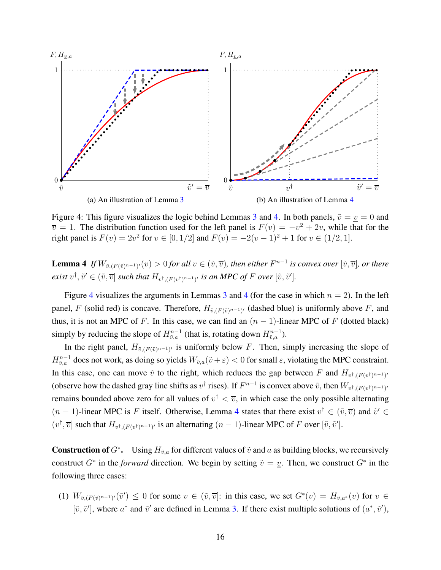<span id="page-15-0"></span>

Figure 4: This figure visualizes the logic behind Lemmas [3](#page-14-1) and [4.](#page-14-2) In both panels,  $\tilde{v} = v = 0$  and  $\overline{v} = 1$ . The distribution function used for the left panel is  $F(v) = -v^2 + 2v$ , while that for the right panel is  $F(v) = 2v^2$  for  $v \in [0, 1/2]$  and  $F(v) = -2(v - 1)^2 + 1$  for  $v \in (1/2, 1]$ .

**Lemma 4** If  $W_{\tilde{v},(F(\tilde{v})^{n-1})'}(v) > 0$  for all  $v \in (\tilde{v}, \overline{v})$ , then either  $F^{n-1}$  is convex over  $[\tilde{v}, \overline{v}]$ , or there  $\text{exist } v^{\dagger}, \tilde{v}' \in (\tilde{v}, \overline{v}] \text{ such that } H_{v^{\dagger}, (F(v^{\dagger})^{n-1})'} \text{ is an MPC of } F \text{ over } [\tilde{v}, \tilde{v}'].$ 

Figure [4](#page-14-2) visualizes the arguments in Lemmas [3](#page-14-1) and 4 (for the case in which  $n = 2$ ). In the left panel, F (solid red) is concave. Therefore,  $H_{\tilde{v}, (F(\tilde{v})^{n-1})'}$  (dashed blue) is uniformly above F, and thus, it is not an MPC of F. In this case, we can find an  $(n - 1)$ -linear MPC of F (dotted black) simply by reducing the slope of  $H_{\tilde{v},a}^{n-1}$  $v_{\tilde{v},a}^{n-1}$  (that is, rotating down  $H_{\tilde{v},a}^{n-1}$  $\binom{n-1}{\tilde{v},a}$ .

In the right panel,  $H_{\tilde{v}, (F(\tilde{v})^{n-1})'}$  is uniformly below F. Then, simply increasing the slope of  $H^{n-1}_{\tilde{n},a}$  $v_{\tilde{v},a}^{n-1}$  does not work, as doing so yields  $W_{\tilde{v},a}(\tilde{v}+\varepsilon) < 0$  for small  $\varepsilon$ , violating the MPC constraint. In this case, one can move  $\tilde{v}$  to the right, which reduces the gap between F and  $H_{v^{\dagger},(F(v^{\dagger})^{n-1})'}$ (observe how the dashed gray line shifts as  $v^{\dagger}$  rises). If  $F^{n-1}$  is convex above  $\tilde{v}$ , then  $W_{v^{\dagger},(F(v^{\dagger})^{n-1})'}$ remains bounded above zero for all values of  $v^{\dagger} < \overline{v}$ , in which case the only possible alternating  $(n-1)$ -linear MPC is F itself. Otherwise, Lemma [4](#page-14-2) states that there exist  $v^{\dagger} \in (\tilde{v}, \overline{v})$  and  $\tilde{v}' \in$  $(v^{\dagger}, \overline{v})$  such that  $H_{v^{\dagger}, (F(v^{\dagger})^{n-1})'}$  is an alternating  $(n-1)$ -linear MPC of F over  $[\tilde{v}, \tilde{v}']$ .

**Construction of**  $G^*$ . Using  $H_{\tilde{v},a}$  for different values of  $\tilde{v}$  and a as building blocks, we recursively construct  $G^*$  in the *forward* direction. We begin by setting  $\tilde{v} = v$ . Then, we construct  $G^*$  in the following three cases:

(1)  $W_{\tilde{v},(F(\tilde{v})^{n-1})'}(\tilde{v}') \leq 0$  for some  $v \in (\tilde{v}, \overline{v}]$ : in this case, we set  $G^*(v) = H_{\tilde{v},a^*}(v)$  for  $v \in$  $[\tilde{v}, \tilde{v}']$ , where  $a^*$  and  $\tilde{v}'$  are defined in Lemma [3.](#page-14-1) If there exist multiple solutions of  $(a^*, \tilde{v}')$ ,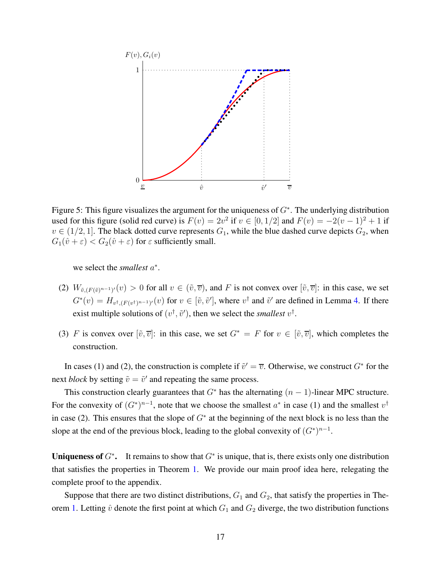<span id="page-16-0"></span>

Figure 5: This figure visualizes the argument for the uniqueness of  $G^*$ . The underlying distribution used for this figure (solid red curve) is  $F(v) = 2v^2$  if  $v \in [0, 1/2]$  and  $F(v) = -2(v - 1)^2 + 1$  if  $v \in (1/2, 1]$ . The black dotted curve represents  $G_1$ , while the blue dashed curve depicts  $G_2$ , when  $G_1(\hat{v} + \varepsilon) < G_2(\hat{v} + \varepsilon)$  for  $\varepsilon$  sufficiently small.

we select the *smallest*  $a^*$ .

- (2)  $W_{\tilde{v},(F(\tilde{v})^{n-1})'}(v) > 0$  for all  $v \in (\tilde{v}, \overline{v})$ , and F is not convex over  $[\tilde{v}, \overline{v}]$ : in this case, we set  $G^*(v) = H_{v^{\dagger}, (F(v^{\dagger})^{n-1})'}(v)$  for  $v \in [\tilde{v}, \tilde{v}']$ , where  $v^{\dagger}$  and  $\tilde{v}'$  are defined in Lemma [4.](#page-14-2) If there exist multiple solutions of  $(v^{\dagger}, \tilde{v}')$ , then we select the *smallest*  $v^{\dagger}$ .
- (3) F is convex over  $[\tilde{v}, \overline{v}]$ : in this case, we set  $G^* = F$  for  $v \in [\tilde{v}, \overline{v}]$ , which completes the construction.

In cases (1) and (2), the construction is complete if  $\tilde{v}' = \overline{v}$ . Otherwise, we construct  $G^*$  for the next *block* by setting  $\tilde{v} = \tilde{v}'$  and repeating the same process.

This construction clearly guarantees that  $G^*$  has the alternating  $(n - 1)$ -linear MPC structure. For the convexity of  $(G^*)^{n-1}$ , note that we choose the smallest  $a^*$  in case (1) and the smallest  $v^{\dagger}$ in case (2). This ensures that the slope of  $G^*$  at the beginning of the next block is no less than the slope at the end of the previous block, leading to the global convexity of  $(G^*)^{n-1}$ .

Uniqueness of  $G^*$ . It remains to show that  $G^*$  is unique, that is, there exists only one distribution that satisfies the properties in Theorem [1.](#page-8-3) We provide our main proof idea here, relegating the complete proof to the appendix.

Suppose that there are two distinct distributions,  $G_1$  and  $G_2$ , that satisfy the properties in The-orem [1.](#page-8-3) Letting  $\hat{v}$  denote the first point at which  $G_1$  and  $G_2$  diverge, the two distribution functions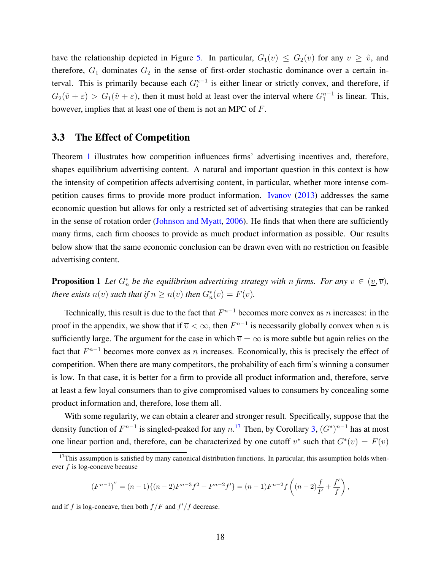have the relationship depicted in Figure [5.](#page-16-0) In particular,  $G_1(v) \leq G_2(v)$  for any  $v \geq \hat{v}$ , and therefore,  $G_1$  dominates  $G_2$  in the sense of first-order stochastic dominance over a certain interval. This is primarily because each  $G_i^{n-1}$  $i^{n-1}$  is either linear or strictly convex, and therefore, if  $G_2(\hat{v}+\varepsilon) > G_1(\hat{v}+\varepsilon)$ , then it must hold at least over the interval where  $G_1^{n-1}$  is linear. This, however, implies that at least one of them is not an MPC of F.

#### 3.3 The Effect of Competition

Theorem [1](#page-8-3) illustrates how competition influences firms' advertising incentives and, therefore, shapes equilibrium advertising content. A natural and important question in this context is how the intensity of competition affects advertising content, in particular, whether more intense competition causes firms to provide more product information. [Ivanov](#page-44-5) [\(2013](#page-44-5)) addresses the same economic question but allows for only a restricted set of advertising strategies that can be ranked in the sense of rotation order [\(Johnson and Myatt,](#page-44-3) [2006\)](#page-44-3). He finds that when there are sufficiently many firms, each firm chooses to provide as much product information as possible. Our results below show that the same economic conclusion can be drawn even with no restriction on feasible advertising content.

<span id="page-17-1"></span>**Proposition 1** Let  $G_n^*$  be the equilibrium advertising strategy with n firms. For any  $v \in (\underline{v}, \overline{v})$ , *there exists*  $n(v)$  *such that if*  $n \geq n(v)$  *then*  $G_n^*(v) = F(v)$ *.* 

Technically, this result is due to the fact that  $F^{n-1}$  becomes more convex as n increases: in the proof in the appendix, we show that if  $\overline{v} < \infty$ , then  $F^{n-1}$  is necessarily globally convex when n is sufficiently large. The argument for the case in which  $\overline{v} = \infty$  is more subtle but again relies on the fact that  $F^{n-1}$  becomes more convex as n increases. Economically, this is precisely the effect of competition. When there are many competitors, the probability of each firm's winning a consumer is low. In that case, it is better for a firm to provide all product information and, therefore, serve at least a few loyal consumers than to give compromised values to consumers by concealing some product information and, therefore, lose them all.

With some regularity, we can obtain a clearer and stronger result. Specifically, suppose that the density function of  $F^{n-1}$  is singled-peaked for any  $n<sup>17</sup>$  $n<sup>17</sup>$  $n<sup>17</sup>$  Then, by Corollary [3,](#page-10-1)  $(G^*)^{n-1}$  has at most one linear portion and, therefore, can be characterized by one cutoff  $v^*$  such that  $G^*(v) = F(v)$ 

$$
(F^{n-1})^{''} = (n-1)\{(n-2)F^{n-3}f^{2} + F^{n-2}f'\} = (n-1)F^{n-2}f\left((n-2)\frac{f}{F} + \frac{f'}{f}\right)
$$

,

and if f is log-concave, then both  $f/F$  and  $f'/f$  decrease.

<span id="page-17-0"></span> $17$ This assumption is satisfied by many canonical distribution functions. In particular, this assumption holds whenever  $f$  is log-concave because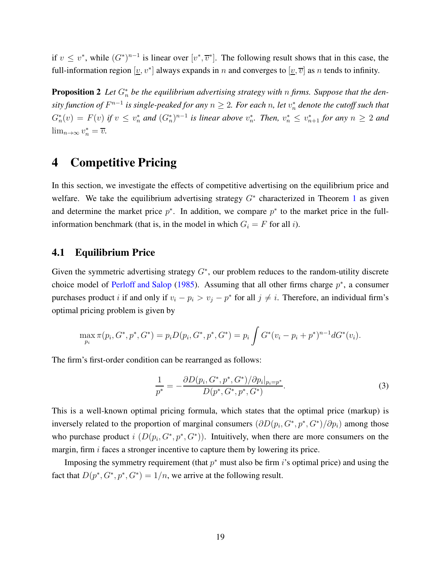<span id="page-18-2"></span>if  $v \leq v^*$ , while  $(G^*)^{n-1}$  is linear over  $[v^*, \overline{v}^*]$ . The following result shows that in this case, the full-information region  $[\underline{v}, v^*]$  always expands in n and converges to  $[\underline{v}, \overline{v}]$  as n tends to infinity.

**Proposition 2** Let  $G_n^*$  be the equilibrium advertising strategy with n firms. Suppose that the density function of  $F^{n-1}$  is single-peaked for any  $n\geq 2$ . For each n, let  $v_n^\ast$  denote the cutoff such that  $G_n^*(v) = F(v)$  if  $v \leq v_n^*$  and  $(G_n^*)^{n-1}$  is linear above  $v_n^*$ . Then,  $v_n^* \leq v_{n+1}^*$  for any  $n \geq 2$  and  $\lim_{n\to\infty}v_n^*=\overline{v}.$ 

## <span id="page-18-0"></span>4 Competitive Pricing

In this section, we investigate the effects of competitive advertising on the equilibrium price and welfare. We take the equilibrium advertising strategy  $G^*$  characterized in Theorem [1](#page-8-3) as given and determine the market price  $p^*$ . In addition, we compare  $p^*$  to the market price in the fullinformation benchmark (that is, in the model in which  $G_i = F$  for all i).

### 4.1 Equilibrium Price

Given the symmetric advertising strategy  $G^*$ , our problem reduces to the random-utility discrete choice model of [Perloff and Salop](#page-45-1) [\(1985](#page-45-1)). Assuming that all other firms charge  $p^*$ , a consumer purchases product *i* if and only if  $v_i - p_i > v_j - p^*$  for all  $j \neq i$ . Therefore, an individual firm's optimal pricing problem is given by

$$
\max_{p_i} \pi(p_i, G^*, p^*, G^*) = p_i D(p_i, G^*, p^*, G^*) = p_i \int G^*(v_i - p_i + p^*)^{n-1} dG^*(v_i).
$$

The firm's first-order condition can be rearranged as follows:

$$
\frac{1}{p^*} = -\frac{\partial D(p_i, G^*, p^*, G^*)/\partial p_i|_{p_i = p^*}}{D(p^*, G^*, p^*, G^*)}.
$$
\n(3)

This is a well-known optimal pricing formula, which states that the optimal price (markup) is inversely related to the proportion of marginal consumers  $(\partial D(p_i, G^*, p^*, G^*)/\partial p_i)$  among those who purchase product i  $(D(p_i, G^*, p^*, G^*))$ . Intuitively, when there are more consumers on the margin, firm *i* faces a stronger incentive to capture them by lowering its price.

<span id="page-18-1"></span>Imposing the symmetry requirement (that  $p^*$  must also be firm i's optimal price) and using the fact that  $D(p^*, G^*, p^*, G^*) = 1/n$ , we arrive at the following result.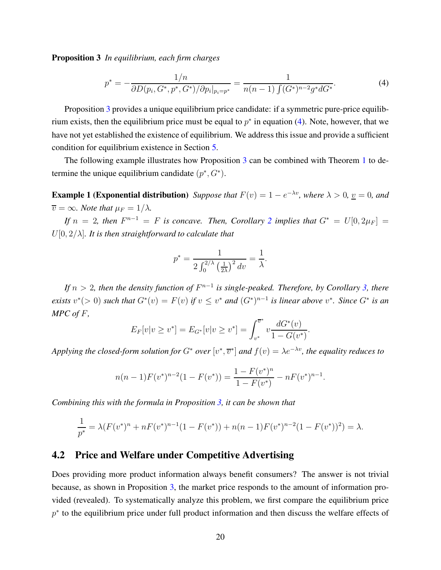Proposition 3 *In equilibrium, each firm charges*

<span id="page-19-0"></span>
$$
p^* = -\frac{1/n}{\partial D(p_i, G^*, p^*, G^*)/\partial p_i|_{p_i = p^*}} = \frac{1}{n(n-1)\int (G^*)^{n-2}g^*dG^*}.
$$
\n(4)

Proposition [3](#page-18-1) provides a unique equilibrium price candidate: if a symmetric pure-price equilibrium exists, then the equilibrium price must be equal to  $p^*$  in equation [\(4\)](#page-19-0). Note, however, that we have not yet established the existence of equilibrium. We address this issue and provide a sufficient condition for equilibrium existence in Section [5.](#page-22-0)

The following example illustrates how Proposition [3](#page-18-1) can be combined with Theorem [1](#page-8-3) to determine the unique equilibrium candidate  $(p^*, G^*)$ .

**Example 1 (Exponential distribution)** Suppose that  $F(v) = 1 - e^{-\lambda v}$ , where  $\lambda > 0$ ,  $v = 0$ , and  $\overline{v} = \infty$ *. Note that*  $\mu_F = 1/\lambda$ *.* 

*If*  $n = 2$  $n = 2$ , then  $F^{n-1} = F$  is concave. Then, Corollary 2 implies that  $G^* = U[0, 2\mu_F] =$  $U[0, 2/\lambda]$ *. It is then straightforward to calculate that* 

$$
p^* = \frac{1}{2 \int_0^{2/\lambda} \left(\frac{1}{2\lambda}\right)^2 dv} = \frac{1}{\lambda}.
$$

*If*  $n > 2$ , then the density function of  $F^{n-1}$  is single-peaked. Therefore, by Corollary [3,](#page-10-1) there *exists*  $v^*(-0)$  *such that*  $G^*(v) = F(v)$  *if*  $v \leq v^*$  and  $(G^*)^{n-1}$  *is linear above*  $v^*$ *. Since*  $G^*$  *is an MPC of* F*,*

$$
E_F[v|v \ge v^*] = E_{G^*}[v|v \ge v^*] = \int_{v^*}^{\overline{v}^*} v \frac{dG^*(v)}{1 - G(v^*)}.
$$

Applying the closed-form solution for  $G^*$  over  $[v^*,\overline{v}^*]$  and  $f(v) = \lambda e^{-\lambda v}$ , the equality reduces to

$$
n(n-1)F(v^*)^{n-2}(1-F(v^*)) = \frac{1-F(v^*)^n}{1-F(v^*)} - nF(v^*)^{n-1}.
$$

*Combining this with the formula in Proposition [3,](#page-18-1) it can be shown that*

$$
\frac{1}{p^*} = \lambda (F(v^*)^n + nF(v^*)^{n-1}(1 - F(v^*)) + n(n-1)F(v^*)^{n-2}(1 - F(v^*))^2) = \lambda.
$$

### 4.2 Price and Welfare under Competitive Advertising

Does providing more product information always benefit consumers? The answer is not trivial because, as shown in Proposition [3,](#page-18-1) the market price responds to the amount of information provided (revealed). To systematically analyze this problem, we first compare the equilibrium price  $p^*$  to the equilibrium price under full product information and then discuss the welfare effects of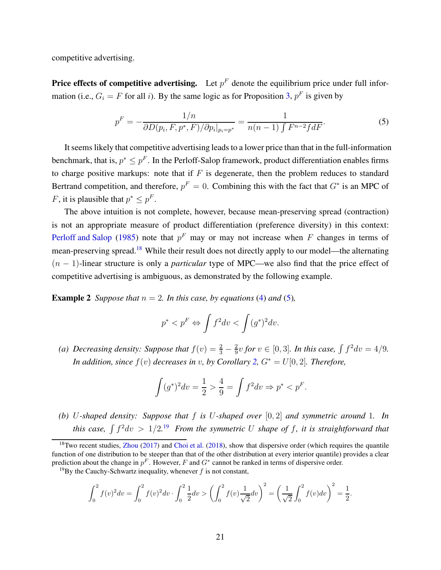competitive advertising.

**Price effects of competitive advertising.** Let  $p^F$  denote the equilibrium price under full information (i.e.,  $G_i = F$  for all i). By the same logic as for Proposition [3,](#page-18-1)  $p^F$  is given by

<span id="page-20-1"></span>
$$
p^{F} = -\frac{1/n}{\partial D(p_i, F, p^*, F)/\partial p_i|_{p_i = p^*}} = \frac{1}{n(n-1)\int F^{n-2}f dF}.
$$
\n(5)

It seems likely that competitive advertising leads to a lower price than that in the full-information benchmark, that is,  $p^* \leq p^F$ . In the Perloff-Salop framework, product differentiation enables firms to charge positive markups: note that if  $F$  is degenerate, then the problem reduces to standard Bertrand competition, and therefore,  $p^F = 0$ . Combining this with the fact that  $G^*$  is an MPC of *F*, it is plausible that  $p^* \leq p^F$ .

The above intuition is not complete, however, because mean-preserving spread (contraction) is not an appropriate measure of product differentiation (preference diversity) in this context: [Perloff and Salop](#page-45-1) [\(1985](#page-45-1)) note that  $p<sup>F</sup>$  may or may not increase when F changes in terms of mean-preserving spread.<sup>[18](#page-20-0)</sup> While their result does not directly apply to our model—the alternating (n − 1)-linear structure is only a *particular* type of MPC—we also find that the price effect of competitive advertising is ambiguous, as demonstrated by the following example.

<span id="page-20-3"></span>**Example 2** *Suppose that*  $n = 2$ *. In this case, by equations* [\(4\)](#page-19-0) *and* [\(5\)](#page-20-1)*,* 

$$
p^* < p^F \Leftrightarrow \int f^2 dv < \int (g^*)^2 dv.
$$

(a) Decreasing density: Suppose that  $f(v) = \frac{2}{3} - \frac{2}{9}$  $\frac{2}{9}v$  *for*  $v \in [0, 3]$ *. In this case,*  $\int f^2 dv = 4/9$ *. In addition, since*  $f(v)$  *decreases in* v, by Corollary [2,](#page-9-1)  $G^* = U[0, 2]$ *. Therefore,* 

$$
\int (g^*)^2 dv = \frac{1}{2} > \frac{4}{9} = \int f^2 dv \Rightarrow p^* < p^F.
$$

*(b)* U*-shaped density: Suppose that* f *is* U*-shaped over* [0, 2] *and symmetric around* 1*. In* this case,  $\int f^2 dv > 1/2$ .<sup>[19](#page-20-2)</sup> *From the symmetric* U *shape of* f, it is straightforward that

$$
\int_0^2 f(v)^2 dv = \int_0^2 f(v)^2 dv \cdot \int_0^2 \frac{1}{2} dv > \left(\int_0^2 f(v) \frac{1}{\sqrt{2}} dv\right)^2 = \left(\frac{1}{\sqrt{2}} \int_0^2 f(v) dv\right)^2 = \frac{1}{2}
$$

.

<span id="page-20-0"></span><sup>&</sup>lt;sup>18</sup>Two recent studies, [Zhou](#page-45-8) [\(2017](#page-45-8)) and [Choi et al.](#page-44-14) [\(2018\)](#page-44-14), show that dispersive order (which requires the quantile function of one distribution to be steeper than that of the other distribution at every interior quantile) provides a clear prediction about the change in  $p^F$ . However, F and  $G^*$  cannot be ranked in terms of dispersive order.

<span id="page-20-2"></span><sup>&</sup>lt;sup>19</sup>By the Cauchy-Schwartz inequality, whenever  $f$  is not constant,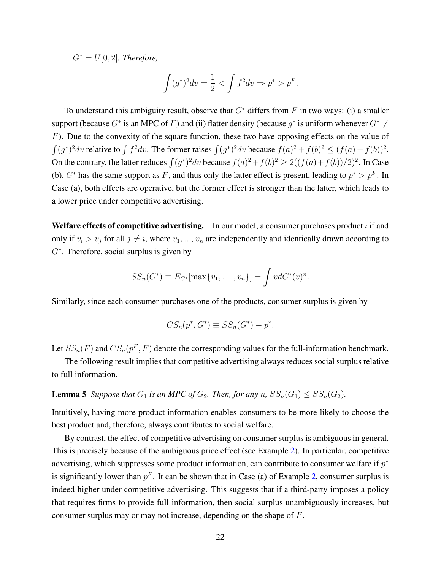$G^* = U[0, 2]$ *. Therefore,* 

$$
\int (g^*)^2 dv = \frac{1}{2} < \int f^2 dv \Rightarrow p^* > p^F.
$$

To understand this ambiguity result, observe that  $G^*$  differs from F in two ways: (i) a smaller support (because  $G^*$  is an MPC of F) and (ii) flatter density (because  $g^*$  is uniform whenever  $G^* \neq$  $F$ ). Due to the convexity of the square function, these two have opposing effects on the value of  $\int (g^*)^2 dv$  relative to  $\int f^2 dv$ . The former raises  $\int (g^*)^2 dv$  because  $f(a)^2 + f(b)^2 \le (f(a) + f(b))^2$ . On the contrary, the latter reduces  $\int (g^*)^2 dv$  because  $f(a)^2 + f(b)^2 \ge 2((f(a) + f(b))/2)^2$ . In Case (b),  $G^*$  has the same support as F, and thus only the latter effect is present, leading to  $p^* > p^F$ . In Case (a), both effects are operative, but the former effect is stronger than the latter, which leads to a lower price under competitive advertising.

Welfare effects of competitive advertising. In our model, a consumer purchases product  $i$  if and only if  $v_i > v_j$  for all  $j \neq i$ , where  $v_1, ..., v_n$  are independently and identically drawn according to G<sup>∗</sup> . Therefore, social surplus is given by

$$
SS_n(G^*) \equiv E_{G^*}[\max\{v_1, \ldots, v_n\}] = \int v dG^*(v)^n.
$$

Similarly, since each consumer purchases one of the products, consumer surplus is given by

$$
CS_n(p^*, G^*) \equiv SS_n(G^*) - p^*.
$$

Let  $SS_n(F)$  and  $CS_n(p^F, F)$  denote the corresponding values for the full-information benchmark.

<span id="page-21-0"></span>The following result implies that competitive advertising always reduces social surplus relative to full information.

**Lemma 5** *Suppose that*  $G_1$  *is an MPC of*  $G_2$ *. Then, for any*  $n$ *,*  $SS_n(G_1) \leq SS_n(G_2)$ *.* 

Intuitively, having more product information enables consumers to be more likely to choose the best product and, therefore, always contributes to social welfare.

By contrast, the effect of competitive advertising on consumer surplus is ambiguous in general. This is precisely because of the ambiguous price effect (see Example [2\)](#page-20-3). In particular, competitive advertising, which suppresses some product information, can contribute to consumer welfare if  $p^*$ is significantly lower than  $p<sup>F</sup>$ . It can be shown that in Case (a) of Example [2,](#page-20-3) consumer surplus is indeed higher under competitive advertising. This suggests that if a third-party imposes a policy that requires firms to provide full information, then social surplus unambiguously increases, but consumer surplus may or may not increase, depending on the shape of F.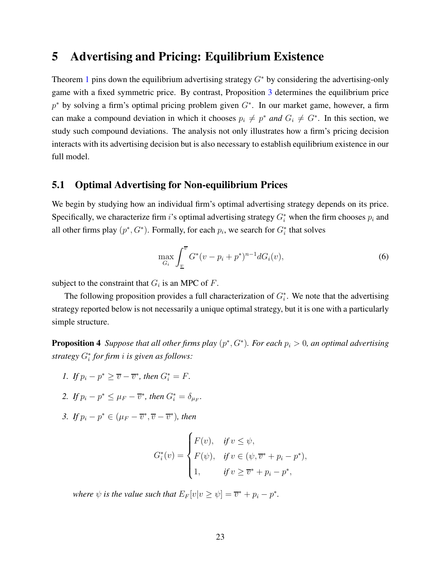### <span id="page-22-0"></span>5 Advertising and Pricing: Equilibrium Existence

Theorem [1](#page-8-3) pins down the equilibrium advertising strategy  $G^*$  by considering the advertising-only game with a fixed symmetric price. By contrast, Proposition [3](#page-18-1) determines the equilibrium price  $p^*$  by solving a firm's optimal pricing problem given  $G^*$ . In our market game, however, a firm can make a compound deviation in which it chooses  $p_i \neq p^*$  *and*  $G_i \neq G^*$ . In this section, we study such compound deviations. The analysis not only illustrates how a firm's pricing decision interacts with its advertising decision but is also necessary to establish equilibrium existence in our full model.

#### 5.1 Optimal Advertising for Non-equilibrium Prices

We begin by studying how an individual firm's optimal advertising strategy depends on its price. Specifically, we characterize firm i's optimal advertising strategy  $G_i^*$  when the firm chooses  $p_i$  and all other firms play  $(p^*, G^*)$ . Formally, for each  $p_i$ , we search for  $G_i^*$  that solves

$$
\max_{G_i} \int_{\underline{v}}^{\overline{v}} G^*(v - p_i + p^*)^{n-1} dG_i(v), \tag{6}
$$

subject to the constraint that  $G_i$  is an MPC of F.

The following proposition provides a full characterization of  $G_i^*$ . We note that the advertising strategy reported below is not necessarily a unique optimal strategy, but it is one with a particularly simple structure.

<span id="page-22-1"></span>**Proposition 4** Suppose that all other firms play  $(p^*, G^*)$ . For each  $p_i > 0$ , an optimal advertising *strategy* G<sup>∗</sup> i *for firm* i *is given as follows:*

- *1.* If  $p_i p^* \geq \overline{v} \overline{v}^*$ , then  $G_i^* = F$ .
- 2. If  $p_i p^* \leq \mu_F \overline{v}^*$ , then  $G_i^* = \delta_{\mu_F}$ .
- 3. If  $p_i p^* \in (\mu_F \overline{v}^*, \overline{v} \overline{v}^*)$ , then

$$
G_i^*(v) = \begin{cases} F(v), & \text{if } v \le \psi, \\ F(\psi), & \text{if } v \in (\psi, \overline{v}^* + p_i - p^*), \\ 1, & \text{if } v \ge \overline{v}^* + p_i - p^*, \end{cases}
$$

where  $\psi$  is the value such that  $E_F[v|v \ge \psi] = \overline{v}^* + p_i - p^*$ .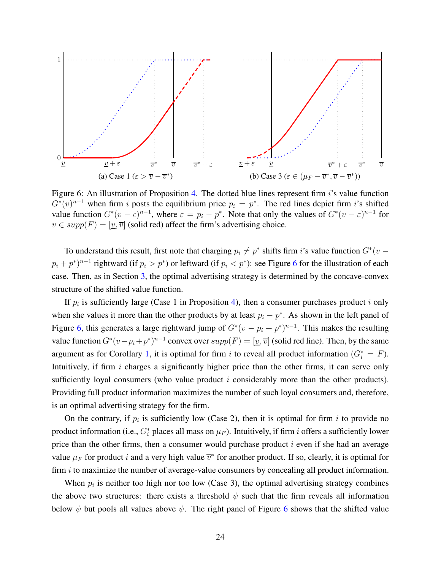<span id="page-23-0"></span>

Figure 6: An illustration of Proposition [4.](#page-22-1) The dotted blue lines represent firm  $i$ 's value function  $G<sup>*</sup>(v)<sup>n-1</sup>$  when firm i posts the equilibrium price  $p<sub>i</sub> = p<sup>*</sup>$ . The red lines depict firm i's shifted value function  $G^*(v - \epsilon)^{n-1}$ , where  $\varepsilon = p_i - p^*$ . Note that only the values of  $G^*(v - \varepsilon)^{n-1}$  for  $v \in supp(F) = [v, \overline{v}]$  (solid red) affect the firm's advertising choice.

To understand this result, first note that charging  $p_i \neq p^*$  shifts firm *i*'s value function  $G^*(v$  $p_i + p^*$ )<sup>n-1</sup> rightward (if  $p_i > p^*$ ) or leftward (if  $p_i < p^*$ ): see Figure [6](#page-23-0) for the illustration of each case. Then, as in Section [3,](#page-7-0) the optimal advertising strategy is determined by the concave-convex structure of the shifted value function.

If  $p_i$  is sufficiently large (Case 1 in Proposition [4\)](#page-22-1), then a consumer purchases product i only when she values it more than the other products by at least  $p_i - p^*$ . As shown in the left panel of Figure [6,](#page-23-0) this generates a large rightward jump of  $G^*(v - p_i + p^*)^{n-1}$ . This makes the resulting value function  $G^*(v-p_i+p^*)^{n-1}$  convex over  $supp(F) = [\underline{v}, \overline{v}]$  (solid red line). Then, by the same argument as for Corollary [1,](#page-8-0) it is optimal for firm i to reveal all product information  $(G_i^* = F)$ . Intuitively, if firm  $i$  charges a significantly higher price than the other firms, it can serve only sufficiently loyal consumers (who value product  $i$  considerably more than the other products). Providing full product information maximizes the number of such loyal consumers and, therefore, is an optimal advertising strategy for the firm.

On the contrary, if  $p_i$  is sufficiently low (Case 2), then it is optimal for firm i to provide no product information (i.e.,  $G_i^*$  places all mass on  $\mu_F$ ). Intuitively, if firm i offers a sufficiently lower price than the other firms, then a consumer would purchase product  $i$  even if she had an average value  $\mu_F$  for product i and a very high value  $\overline{v}^*$  for another product. If so, clearly, it is optimal for firm i to maximize the number of average-value consumers by concealing all product information.

When  $p_i$  is neither too high nor too low (Case 3), the optimal advertising strategy combines the above two structures: there exists a threshold  $\psi$  such that the firm reveals all information below  $\psi$  but pools all values above  $\psi$ . The right panel of Figure [6](#page-23-0) shows that the shifted value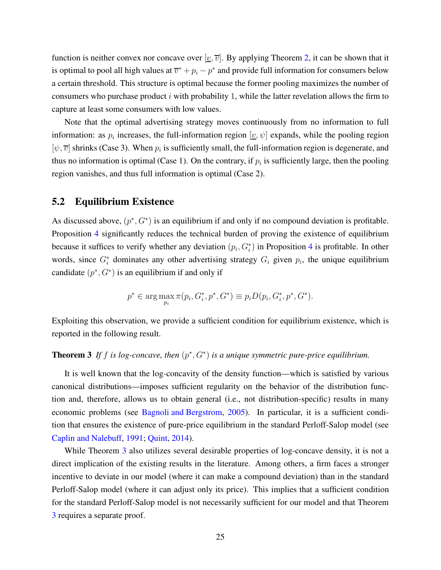function is neither convex nor concave over  $[\underline{v}, \overline{v}]$ . By applying Theorem [2,](#page-12-0) it can be shown that it is optimal to pool all high values at  $\overline{v}^* + p_i - p^*$  and provide full information for consumers below a certain threshold. This structure is optimal because the former pooling maximizes the number of consumers who purchase product  $i$  with probability 1, while the latter revelation allows the firm to capture at least some consumers with low values.

Note that the optimal advertising strategy moves continuously from no information to full information: as  $p_i$  increases, the full-information region  $[\underline{v}, \psi]$  expands, while the pooling region  $[\psi, \overline{v}]$  shrinks (Case 3). When  $p_i$  is sufficiently small, the full-information region is degenerate, and thus no information is optimal (Case 1). On the contrary, if  $p_i$  is sufficiently large, then the pooling region vanishes, and thus full information is optimal (Case 2).

### 5.2 Equilibrium Existence

As discussed above,  $(p^*, G^*)$  is an equilibrium if and only if no compound deviation is profitable. Proposition [4](#page-22-1) significantly reduces the technical burden of proving the existence of equilibrium because it suffices to verify whether any deviation  $(p_i, G_i^*)$  in Proposition [4](#page-22-1) is profitable. In other words, since  $G_i^*$  dominates any other advertising strategy  $G_i$  given  $p_i$ , the unique equilibrium candidate  $(p^*, G^*)$  is an equilibrium if and only if

$$
p^* \in \arg\max_{p_i} \pi(p_i, G_i^*, p^*, G^*) \equiv p_i D(p_i, G_i^*, p^*, G^*).
$$

<span id="page-24-0"></span>Exploiting this observation, we provide a sufficient condition for equilibrium existence, which is reported in the following result.

### **Theorem 3** If f is log-concave, then  $(p^*, G^*)$  is a unique symmetric pure-price equilibrium.

It is well known that the log-concavity of the density function—which is satisfied by various canonical distributions—imposes sufficient regularity on the behavior of the distribution function and, therefore, allows us to obtain general (i.e., not distribution-specific) results in many economic problems (see [Bagnoli and Bergstrom,](#page-43-8) [2005](#page-43-8)). In particular, it is a sufficient condition that ensures the existence of pure-price equilibrium in the standard Perloff-Salop model (see [Caplin and Nalebuff](#page-44-6), [1991;](#page-44-6) [Quint,](#page-45-4) [2014](#page-45-4)).

While Theorem [3](#page-24-0) also utilizes several desirable properties of log-concave density, it is not a direct implication of the existing results in the literature. Among others, a firm faces a stronger incentive to deviate in our model (where it can make a compound deviation) than in the standard Perloff-Salop model (where it can adjust only its price). This implies that a sufficient condition for the standard Perloff-Salop model is not necessarily sufficient for our model and that Theorem [3](#page-24-0) requires a separate proof.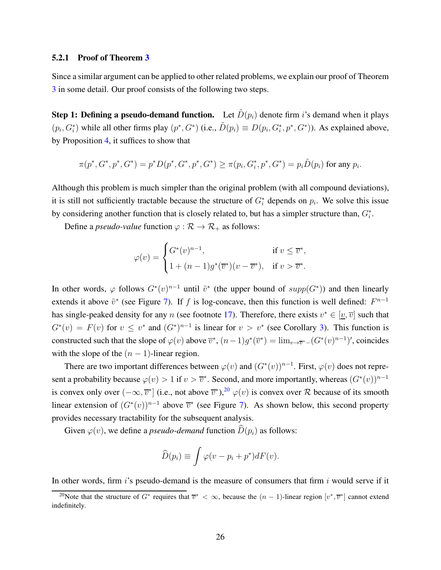#### 5.2.1 Proof of Theorem [3](#page-24-0)

Since a similar argument can be applied to other related problems, we explain our proof of Theorem [3](#page-24-0) in some detail. Our proof consists of the following two steps.

**Step 1: Defining a pseudo-demand function.** Let  $\tilde{D}(p_i)$  denote firm i's demand when it plays  $(p_i, G_i^*)$  while all other firms play  $(p^*, G^*)$  (i.e.,  $\tilde{D}(p_i) \equiv D(p_i, G_i^*, p^*, G^*)$ ). As explained above, by Proposition [4,](#page-22-1) it suffices to show that

$$
\pi(p^*, G^*, p^*, G^*) = p^*D(p^*, G^*, p^*, G^*) \ge \pi(p_i, G_i^*, p^*, G^*) = p_i \tilde{D}(p_i) \text{ for any } p_i.
$$

Although this problem is much simpler than the original problem (with all compound deviations), it is still not sufficiently tractable because the structure of  $G_i^*$  depends on  $p_i$ . We solve this issue by considering another function that is closely related to, but has a simpler structure than,  $G_i^*$ .

Define a *pseudo-value* function  $\varphi : \mathcal{R} \to \mathcal{R}_+$  as follows:

$$
\varphi(v) = \begin{cases} G^*(v)^{n-1}, & \text{if } v \leq \overline{v}^*, \\ 1 + (n-1)g^*(\overline{v}^*)(v - \overline{v}^*), & \text{if } v > \overline{v}^*. \end{cases}
$$

In other words,  $\varphi$  follows  $G^*(v)^{n-1}$  until  $\tilde{v}^*$  (the upper bound of  $supp(G^*)$ ) and then linearly extends it above  $\tilde{v}^*$  (see Figure [7\)](#page-26-0). If f is log-concave, then this function is well defined:  $F^{n-1}$ has single-peaked density for any n (see footnote [17\)](#page-17-0). Therefore, there exists  $v^* \in [\underline{v}, \overline{v}]$  such that  $G^*(v) = F(v)$  for  $v \leq v^*$  and  $(G^*)^{n-1}$  is linear for  $v > v^*$  (see Corollary [3\)](#page-10-1). This function is constructed such that the slope of  $\varphi(v)$  above  $\overline{v}^*$ ,  $(n-1)g^*(\overline{v}^*) = \lim_{v \to \overline{v}^*} (G^*(v)^{n-1})'$ , coincides with the slope of the  $(n - 1)$ -linear region.

There are two important differences between  $\varphi(v)$  and  $(G^*(v))^{n-1}$ . First,  $\varphi(v)$  does not represent a probability because  $\varphi(v) > 1$  if  $v > \overline{v}^*$ . Second, and more importantly, whereas  $(G^*(v))^{n-1}$ is convex only over  $(-\infty, \overline{v})$  (i.e., not above  $\overline{v}^*$ ),<sup>[20](#page-25-0)</sup>  $\varphi(v)$  is convex over R because of its smooth linear extension of  $(G^*(v))^{n-1}$  above  $\overline{v}^*$  (see Figure [7\)](#page-26-0). As shown below, this second property provides necessary tractability for the subsequent analysis.

Given  $\varphi(v)$ , we define a *pseudo-demand* function  $\widehat{D}(p_i)$  as follows:

$$
\widehat{D}(p_i) \equiv \int \varphi(v - p_i + p^*) dF(v).
$$

In other words, firm  $i$ 's pseudo-demand is the measure of consumers that firm  $i$  would serve if it

<span id="page-25-0"></span><sup>&</sup>lt;sup>20</sup>Note that the structure of  $G^*$  requires that  $\overline{v}^* < \infty$ , because the  $(n-1)$ -linear region  $[v^*, \overline{v}^*]$  cannot extend indefinitely.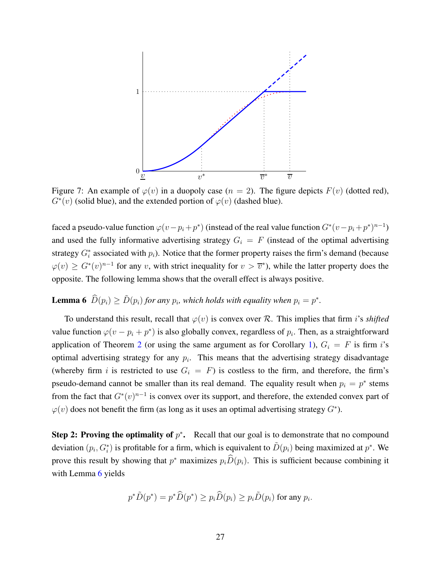<span id="page-26-0"></span>

Figure 7: An example of  $\varphi(v)$  in a duopoly case  $(n = 2)$ . The figure depicts  $F(v)$  (dotted red),  $G<sup>*</sup>(v)$  (solid blue), and the extended portion of  $\varphi(v)$  (dashed blue).

faced a pseudo-value function  $\varphi(v-p_i+p^*)$  (instead of the real value function  $G^*(v-p_i+p^*)^{n-1}$ ) and used the fully informative advertising strategy  $G_i = F$  (instead of the optimal advertising strategy  $G_i^*$  associated with  $p_i$ ). Notice that the former property raises the firm's demand (because  $\varphi(v) \geq G^*(v)^{n-1}$  for any v, with strict inequality for  $v > \overline{v}^*$ ), while the latter property does the opposite. The following lemma shows that the overall effect is always positive.

<span id="page-26-1"></span>**Lemma 6**  $\widehat{D}(p_i) \geq \widetilde{D}(p_i)$  *for any*  $p_i$ *, which holds with equality when*  $p_i = p^*$ *.* 

To understand this result, recall that  $\varphi(v)$  is convex over R. This implies that firm *i*'s *shifted* value function  $\varphi(v - p_i + p^*)$  is also globally convex, regardless of  $p_i$ . Then, as a straightforward application of Theorem [2](#page-12-0) (or using the same argument as for Corollary [1\)](#page-8-0),  $G_i = F$  is firm i's optimal advertising strategy for any  $p_i$ . This means that the advertising strategy disadvantage (whereby firm i is restricted to use  $G_i = F$ ) is costless to the firm, and therefore, the firm's pseudo-demand cannot be smaller than its real demand. The equality result when  $p_i = p^*$  stems from the fact that  $G^*(v)^{n-1}$  is convex over its support, and therefore, the extended convex part of  $\varphi(v)$  does not benefit the firm (as long as it uses an optimal advertising strategy  $G^*$ ).

Step 2: Proving the optimality of  $p^*$ . Recall that our goal is to demonstrate that no compound deviation  $(p_i, G_i^*)$  is profitable for a firm, which is equivalent to  $\tilde{D}(p_i)$  being maximized at  $p^*$ . We prove this result by showing that  $p^*$  maximizes  $p_i \hat{D}(p_i)$ . This is sufficient because combining it with Lemma [6](#page-26-1) yields

$$
p^* \tilde{D}(p^*) = p^* \widehat{D}(p^*) \ge p_i \widehat{D}(p_i) \ge p_i \tilde{D}(p_i) \text{ for any } p_i.
$$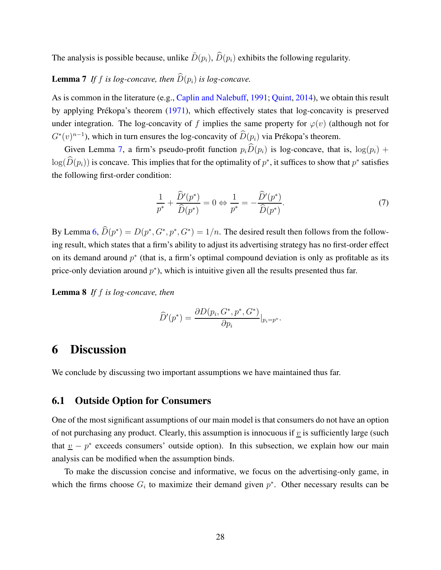<span id="page-27-2"></span>The analysis is possible because, unlike  $\tilde{D}(p_i)$ ,  $\hat{D}(p_i)$  exhibits the following regularity.

### **Lemma 7** If f is log-concave, then  $\widehat{D}(p_i)$  is log-concave.

As is common in the literature (e.g., [Caplin and Nalebuff](#page-44-6), [1991;](#page-44-6) [Quint](#page-45-4), [2014\)](#page-45-4), we obtain this result by applying Prékopa's theorem [\(1971\)](#page-45-10), which effectively states that log-concavity is preserved under integration. The log-concavity of f implies the same property for  $\varphi(v)$  (although not for  $G^*(v)^{n-1}$ ), which in turn ensures the log-concavity of  $\hat{D}(p_i)$  via Prékopa's theorem.

Given Lemma [7,](#page-27-2) a firm's pseudo-profit function  $p_i\hat{D}(p_i)$  is log-concave, that is,  $log(p_i)$  +  $log(D(p_i))$  is concave. This implies that for the optimality of  $p^*$ , it suffices to show that  $p^*$  satisfies the following first-order condition:

$$
\frac{1}{p^*} + \frac{\widetilde{D}'(p^*)}{\widehat{D}(p^*)} = 0 \Leftrightarrow \frac{1}{p^*} = -\frac{\widetilde{D}'(p^*)}{\widehat{D}(p^*)}.
$$
\n(7)

By Lemma [6,](#page-26-1)  $\hat{D}(p^*) = D(p^*, G^*, p^*, G^*) = 1/n$ . The desired result then follows from the following result, which states that a firm's ability to adjust its advertising strategy has no first-order effect on its demand around  $p^*$  (that is, a firm's optimal compound deviation is only as profitable as its price-only deviation around  $p^*$ ), which is intuitive given all the results presented thus far.

<span id="page-27-3"></span>Lemma 8 *If* f *is log-concave, then*

$$
\widehat{D}'(p^*) = \frac{\partial D(p_i, G^*, p^*, G^*)}{\partial p_i}|_{p_i = p^*}.
$$

## <span id="page-27-0"></span>6 Discussion

<span id="page-27-1"></span>We conclude by discussing two important assumptions we have maintained thus far.

### 6.1 Outside Option for Consumers

One of the most significant assumptions of our main model is that consumers do not have an option of not purchasing any product. Clearly, this assumption is innocuous if  $v$  is sufficiently large (such that  $\underline{v} - p^*$  exceeds consumers' outside option). In this subsection, we explain how our main analysis can be modified when the assumption binds.

To make the discussion concise and informative, we focus on the advertising-only game, in which the firms choose  $G_i$  to maximize their demand given  $p^*$ . Other necessary results can be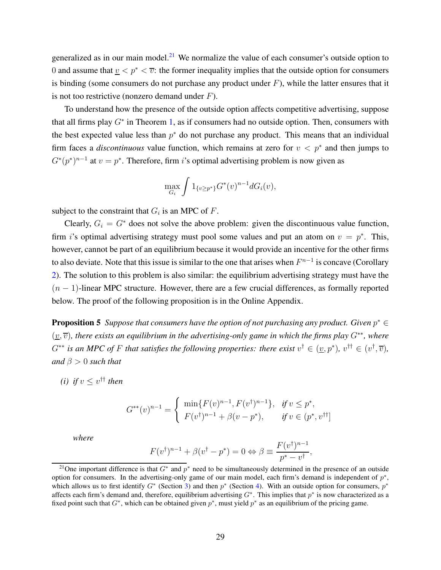generalized as in our main model. $^{21}$  $^{21}$  $^{21}$  We normalize the value of each consumer's outside option to 0 and assume that  $\underline{v} < \overline{v}$ : the former inequality implies that the outside option for consumers is binding (some consumers do not purchase any product under  $F$ ), while the latter ensures that it is not too restrictive (nonzero demand under  $F$ ).

To understand how the presence of the outside option affects competitive advertising, suppose that all firms play  $G^*$  in Theorem [1,](#page-8-3) as if consumers had no outside option. Then, consumers with the best expected value less than  $p^*$  do not purchase any product. This means that an individual firm faces a *discontinuous* value function, which remains at zero for  $v < p^*$  and then jumps to  $G^*(p^*)^{n-1}$  at  $v = p^*$ . Therefore, firm i's optimal advertising problem is now given as

$$
\max_{G_i} \int 1_{\{v \ge p^*\}} G^*(v)^{n-1} dG_i(v),
$$

subject to the constraint that  $G_i$  is an MPC of F.

Clearly,  $G_i = G^*$  does not solve the above problem: given the discontinuous value function, firm i's optimal advertising strategy must pool some values and put an atom on  $v = p^*$ . This, however, cannot be part of an equilibrium because it would provide an incentive for the other firms to also deviate. Note that this issue is similar to the one that arises when  $F^{n-1}$  is concave (Corollary [2\)](#page-9-1). The solution to this problem is also similar: the equilibrium advertising strategy must have the  $(n - 1)$ -linear MPC structure. However, there are a few crucial differences, as formally reported below. The proof of the following proposition is in the Online Appendix.

<span id="page-28-1"></span>Proposition 5 *Suppose that consumers have the option of not purchasing any product. Given* p ∗ ∈ (v, v)*, there exists an equilibrium in the advertising-only game in which the firms play* G∗∗*, where*  $G^{**}$  *is an MPC of F that satisfies the following properties: there exist*  $v^{\dagger} \in (\underline{v}, p^*)$ ,  $v^{\dagger \dagger} \in (v^{\dagger}, \overline{v})$ , *and*  $\beta > 0$  *such that* 

(*i*) if  $v \leq v^{\dagger \dagger}$  then

$$
G^{**}(v)^{n-1} = \begin{cases} \min\{F(v)^{n-1}, F(v^{\dagger})^{n-1}\}, & \text{if } v \le p^*, \\ F(v^{\dagger})^{n-1} + \beta(v - p^*), & \text{if } v \in (p^*, v^{\dagger\dagger}] \end{cases}
$$

*where*

$$
F(v^{\dagger})^{n-1} + \beta(v^{\dagger} - p^*) = 0 \Leftrightarrow \beta \equiv \frac{F(v^{\dagger})^{n-1}}{p^* - v^{\dagger}}
$$

,

<span id="page-28-0"></span><sup>&</sup>lt;sup>21</sup>One important difference is that  $G^*$  and  $p^*$  need to be simultaneously determined in the presence of an outside option for consumers. In the advertising-only game of our main model, each firm's demand is independent of  $p^*$ , which allows us to first identify  $G^*$  (Section [3\)](#page-7-0) and then  $p^*$  (Section [4\)](#page-18-0). With an outside option for consumers,  $p^*$ affects each firm's demand and, therefore, equilibrium advertising  $G^*$ . This implies that  $p^*$  is now characterized as a fixed point such that  $G^*$ , which can be obtained given  $p^*$ , must yield  $p^*$  as an equilibrium of the pricing game.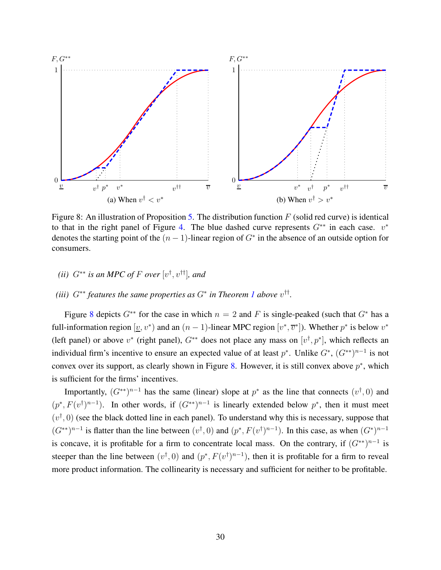<span id="page-29-0"></span>

Figure 8: An illustration of Proposition [5.](#page-28-1) The distribution function  $F$  (solid red curve) is identical to that in the right panel of Figure [4.](#page-15-0) The blue dashed curve represents  $G^{**}$  in each case.  $v^*$ denotes the starting point of the  $(n-1)$ -linear region of  $G^*$  in the absence of an outside option for consumers.

- *(ii)*  $G^{**}$  *is an MPC of F over*  $[v^{\dagger}, v^{\dagger \dagger}]$ *, and*
- (*iii*)  $G^{**}$  *features the same properties as*  $G^*$  *in Theorem [1](#page-8-3) above*  $v^{\dagger \dagger}$ *.*

Figure [8](#page-29-0) depicts  $G^{**}$  for the case in which  $n = 2$  and F is single-peaked (such that  $G^*$  has a full-information region  $[\underline{v}, v^*)$  and an  $(n-1)$ -linear MPC region  $[v^*, \overline{v}^*]$ ). Whether  $p^*$  is below  $v^*$ (left panel) or above  $v^*$  (right panel),  $G^{**}$  does not place any mass on  $[v^{\dagger}, p^*]$ , which reflects an individual firm's incentive to ensure an expected value of at least  $p^*$ . Unlike  $G^*$ ,  $(G^{**})^{n-1}$  is not convex over its support, as clearly shown in Figure [8.](#page-29-0) However, it is still convex above  $p^*$ , which is sufficient for the firms' incentives.

Importantly,  $(G^{**})^{n-1}$  has the same (linear) slope at  $p^*$  as the line that connects  $(v^{\dagger}, 0)$  and  $(p^*, F(v^{\dagger})^{n-1})$ . In other words, if  $(G^{**})^{n-1}$  is linearly extended below  $p^*$ , then it must meet  $(v^{\dagger}, 0)$  (see the black dotted line in each panel). To understand why this is necessary, suppose that  $(G^{**})^{n-1}$  is flatter than the line between  $(v^{\dagger}, 0)$  and  $(p^*, F(v^{\dagger})^{n-1})$ . In this case, as when  $(G^*)^{n-1}$ is concave, it is profitable for a firm to concentrate local mass. On the contrary, if  $(G^{**})^{n-1}$  is steeper than the line between  $(v^{\dagger}, 0)$  and  $(p^*, F(v^{\dagger})^{n-1})$ , then it is profitable for a firm to reveal more product information. The collinearity is necessary and sufficient for neither to be profitable.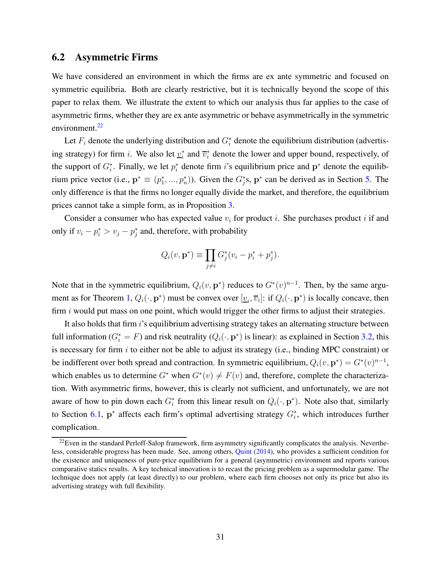### 6.2 Asymmetric Firms

We have considered an environment in which the firms are ex ante symmetric and focused on symmetric equilibria. Both are clearly restrictive, but it is technically beyond the scope of this paper to relax them. We illustrate the extent to which our analysis thus far applies to the case of asymmetric firms, whether they are ex ante asymmetric or behave asymmetrically in the symmetric environment.<sup>[22](#page-30-0)</sup>

Let  $F_i$  denote the underlying distribution and  $G_i^*$  denote the equilibrium distribution (advertising strategy) for firm *i*. We also let  $v_i^*$  and  $\overline{v}_i^*$  denote the lower and upper bound, respectively, of the support of  $G_i^*$ . Finally, we let  $p_i^*$  denote firm i's equilibrium price and  $p^*$  denote the equilibrium price vector (i.e.,  $\mathbf{p}^* \equiv (p_1^*,..., p_n^*)$ ). Given the  $G_j^*$ s,  $\mathbf{p}^*$  can be derived as in Section [5.](#page-22-0) The only difference is that the firms no longer equally divide the market, and therefore, the equilibrium prices cannot take a simple form, as in Proposition [3.](#page-18-1)

Consider a consumer who has expected value  $v_i$  for product i. She purchases product i if and only if  $v_i - p_i^* > v_j - p_j^*$  and, therefore, with probability

$$
Q_i(v, \mathbf{p}^*) \equiv \prod_{j \neq i} G_j^*(v_i - p_i^* + p_j^*).
$$

Note that in the symmetric equilibrium,  $Q_i(v, \mathbf{p}^*)$  reduces to  $G^*(v)^{n-1}$ . Then, by the same argu-ment as for Theorem [1,](#page-8-3)  $Q_i(\cdot, \mathbf{p}^*)$  must be convex over  $[\underline{v}_i, \overline{v}_i]$ : if  $Q_i(\cdot, \mathbf{p}^*)$  is locally concave, then firm  $i$  would put mass on one point, which would trigger the other firms to adjust their strategies.

It also holds that firm  $i$ 's equilibrium advertising strategy takes an alternating structure between full information ( $G_i^* = F$ ) and risk neutrality ( $Q_i(\cdot, \mathbf{p}^*)$  is linear): as explained in Section [3.2,](#page-11-2) this is necessary for firm  $i$  to either not be able to adjust its strategy (i.e., binding MPC constraint) or be indifferent over both spread and contraction. In symmetric equilibrium,  $Q_i(v, \mathbf{p}^*) = G^*(v)^{n-1}$ , which enables us to determine  $G^*$  when  $G^*(v) \neq F(v)$  and, therefore, complete the characterization. With asymmetric firms, however, this is clearly not sufficient, and unfortunately, we are not aware of how to pin down each  $G_i^*$  from this linear result on  $Q_i(\cdot, \mathbf{p}^*)$ . Note also that, similarly to Section [6.1,](#page-27-1)  $p^*$  affects each firm's optimal advertising strategy  $G_i^*$ , which introduces further complication.

<span id="page-30-0"></span> $^{22}$ Even in the standard Perloff-Salop framework, firm asymmetry significantly complicates the analysis. Nevertheless, considerable progress has been made. See, among others, [Quint](#page-45-4) [\(2014\)](#page-45-4), who provides a sufficient condition for the existence and uniqueness of pure-price equilibrium for a general (asymmetric) environment and reports various comparative statics results. A key technical innovation is to recast the pricing problem as a supermodular game. The technique does not apply (at least directly) to our problem, where each firm chooses not only its price but also its advertising strategy with full flexibility.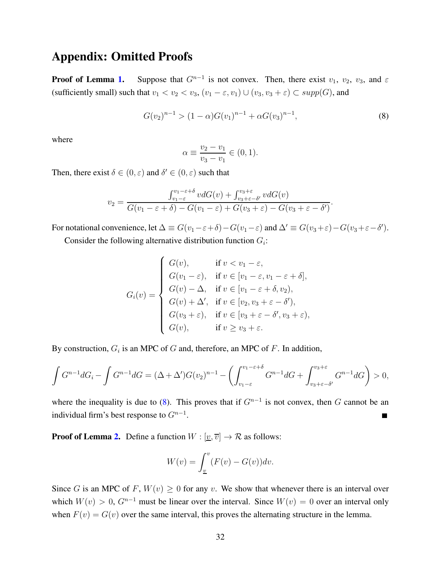### Appendix: Omitted Proofs

**Proof of Lemma [1.](#page-13-0)** Suppose that  $G^{n-1}$  is not convex. Then, there exist  $v_1$ ,  $v_2$ ,  $v_3$ , and  $\varepsilon$ (sufficiently small) such that  $v_1 < v_2 < v_3$ ,  $(v_1 - \varepsilon, v_1) \cup (v_3, v_3 + \varepsilon) \subset supp(G)$ , and

<span id="page-31-0"></span>
$$
G(v_2)^{n-1} > (1-\alpha)G(v_1)^{n-1} + \alpha G(v_3)^{n-1},
$$
\n(8)

where

$$
\alpha \equiv \frac{v_2 - v_1}{v_3 - v_1} \in (0, 1).
$$

Then, there exist  $\delta \in (0, \varepsilon)$  and  $\delta' \in (0, \varepsilon)$  such that

$$
v_2 = \frac{\int_{v_1-\varepsilon}^{v_1-\varepsilon+\delta} v dG(v) + \int_{v_3+\varepsilon-\delta'}^{v_3+\varepsilon} v dG(v)}{G(v_1-\varepsilon+\delta) - G(v_1-\varepsilon) + G(v_3+\varepsilon) - G(v_3+\varepsilon-\delta')}.
$$

For notational convenience, let  $\Delta \equiv G(v_1 - \varepsilon + \delta) - G(v_1 - \varepsilon)$  and  $\Delta' \equiv G(v_3 + \varepsilon) - G(v_3 + \varepsilon - \delta')$ .

Consider the following alternative distribution function  $G_i$ :

$$
G_i(v) = \begin{cases} G(v), & \text{if } v < v_1 - \varepsilon, \\ G(v_1 - \varepsilon), & \text{if } v \in [v_1 - \varepsilon, v_1 - \varepsilon + \delta], \\ G(v) - \Delta, & \text{if } v \in [v_1 - \varepsilon + \delta, v_2), \\ G(v) + \Delta', & \text{if } v \in [v_2, v_3 + \varepsilon - \delta'), \\ G(v_3 + \varepsilon), & \text{if } v \in [v_3 + \varepsilon - \delta', v_3 + \varepsilon), \\ G(v), & \text{if } v \ge v_3 + \varepsilon. \end{cases}
$$

By construction,  $G_i$  is an MPC of G and, therefore, an MPC of F. In addition,

$$
\int G^{n-1}dG_i - \int G^{n-1}dG = (\Delta + \Delta')G(v_2)^{n-1} - \left(\int_{v_1-\varepsilon}^{v_1-\varepsilon+\delta} G^{n-1}dG + \int_{v_3+\varepsilon-\delta'}^{v_3+\varepsilon} G^{n-1}dG\right) > 0,
$$

where the inequality is due to [\(8\)](#page-31-0). This proves that if  $G^{n-1}$  is not convex, then G cannot be an individual firm's best response to  $G^{n-1}$ . П

**Proof of Lemma [2.](#page-13-1)** Define a function  $W : [\underline{v}, \overline{v}] \to \mathcal{R}$  as follows:

$$
W(v) = \int_{\underline{v}}^{v} (F(v) - G(v)) dv.
$$

Since G is an MPC of F,  $W(v) \ge 0$  for any v. We show that whenever there is an interval over which  $W(v) > 0$ ,  $G^{n-1}$  must be linear over the interval. Since  $W(v) = 0$  over an interval only when  $F(v) = G(v)$  over the same interval, this proves the alternating structure in the lemma.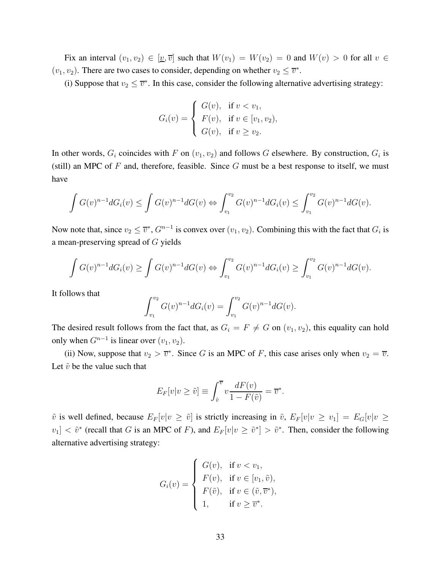Fix an interval  $(v_1, v_2) \in [\underline{v}, \overline{v}]$  such that  $W(v_1) = W(v_2) = 0$  and  $W(v) > 0$  for all  $v \in$  $(v_1, v_2)$ . There are two cases to consider, depending on whether  $v_2 \leq \overline{v}^*$ .

(i) Suppose that  $v_2 \leq \overline{v}^*$ . In this case, consider the following alternative advertising strategy:

$$
G_i(v) = \begin{cases} G(v), & \text{if } v < v_1, \\ F(v), & \text{if } v \in [v_1, v_2), \\ G(v), & \text{if } v \ge v_2. \end{cases}
$$

In other words,  $G_i$  coincides with F on  $(v_1, v_2)$  and follows G elsewhere. By construction,  $G_i$  is (still) an MPC of  $F$  and, therefore, feasible. Since  $G$  must be a best response to itself, we must have

$$
\int G(v)^{n-1} dG_i(v) \leq \int G(v)^{n-1} dG(v) \Leftrightarrow \int_{v_1}^{v_2} G(v)^{n-1} dG_i(v) \leq \int_{v_1}^{v_2} G(v)^{n-1} dG(v).
$$

Now note that, since  $v_2 \leq \overline{v}^*$ ,  $G^{n-1}$  is convex over  $(v_1, v_2)$ . Combining this with the fact that  $G_i$  is a mean-preserving spread of G yields

$$
\int G(v)^{n-1} dG_i(v) \ge \int G(v)^{n-1} dG(v) \Leftrightarrow \int_{v_1}^{v_2} G(v)^{n-1} dG_i(v) \ge \int_{v_1}^{v_2} G(v)^{n-1} dG(v).
$$

It follows that

$$
\int_{v_1}^{v_2} G(v)^{n-1} dG_i(v) = \int_{v_1}^{v_2} G(v)^{n-1} dG(v).
$$

The desired result follows from the fact that, as  $G_i = F \neq G$  on  $(v_1, v_2)$ , this equality can hold only when  $G^{n-1}$  is linear over  $(v_1, v_2)$ .

(ii) Now, suppose that  $v_2 > \overline{v}^*$ . Since G is an MPC of F, this case arises only when  $v_2 = \overline{v}$ . Let  $\tilde{v}$  be the value such that

$$
E_F[v|v \ge \tilde{v}] \equiv \int_{\tilde{v}}^{\overline{v}} v \frac{dF(v)}{1 - F(\tilde{v})} = \overline{v}^*.
$$

 $\tilde{v}$  is well defined, because  $E_F[v|v \ge \tilde{v}]$  is strictly increasing in  $\tilde{v}$ ,  $E_F[v|v \ge v_1] = E_G[v|v \ge v_1]$  $[v_1] < \tilde{v}^*$  (recall that G is an MPC of F), and  $E_F[v|v \ge \tilde{v}^*] > \tilde{v}^*$ . Then, consider the following alternative advertising strategy:

$$
G_i(v) = \begin{cases} G(v), & \text{if } v < v_1, \\ F(v), & \text{if } v \in [v_1, \tilde{v}), \\ F(\tilde{v}), & \text{if } v \in (\tilde{v}, \overline{v}^*), \\ 1, & \text{if } v \ge \overline{v}^*. \end{cases}
$$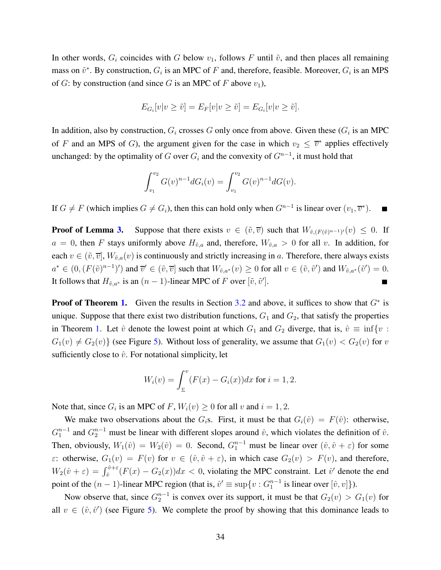In other words,  $G_i$  coincides with G below  $v_1$ , follows F until  $\tilde{v}$ , and then places all remaining mass on  $\tilde{v}^*$ . By construction,  $G_i$  is an MPC of F and, therefore, feasible. Moreover,  $G_i$  is an MPS of G: by construction (and since G is an MPC of F above  $v_1$ ),

$$
E_{G_i}[v|v \ge \tilde{v}] = E_F[v|v \ge \tilde{v}] = E_{G_i}[v|v \ge \tilde{v}].
$$

In addition, also by construction,  $G_i$  crosses G only once from above. Given these ( $G_i$  is an MPC of F and an MPS of G), the argument given for the case in which  $v_2 \leq \overline{v}^*$  applies effectively unchanged: by the optimality of  $G$  over  $G_i$  and the convexity of  $G^{n-1}$ , it must hold that

$$
\int_{v_1}^{v_2} G(v)^{n-1} dG_i(v) = \int_{v_1}^{v_2} G(v)^{n-1} dG(v).
$$

If  $G \neq F$  (which implies  $G \neq G_i$ ), then this can hold only when  $G^{n-1}$  is linear over  $(v_1, \overline{v})^*$ .  $\blacksquare$ 

**Proof of Lemma [3.](#page-14-1)** Suppose that there exists  $v \in (\tilde{v}, \overline{v})$  such that  $W_{\tilde{v}, (F(\tilde{v})^{n-1})'}(v) \leq 0$ . If  $a = 0$ , then F stays uniformly above  $H_{\tilde{v},a}$  and, therefore,  $W_{\tilde{v},a} > 0$  for all v. In addition, for each  $v \in (\tilde{v}, \overline{v}]$ ,  $W_{\tilde{v},a}(v)$  is continuously and strictly increasing in a. Therefore, there always exists  $a^* \in (0, (F(\tilde{v})^{n-1})')$  and  $\overline{v}' \in (\tilde{v}, \overline{v}]$  such that  $W_{\tilde{v}, a^*}(v) \ge 0$  for all  $v \in (\tilde{v}, \tilde{v}')$  and  $W_{\tilde{v}, a^*}(\tilde{v}') = 0$ . It follows that  $H_{\tilde{v},a^*}$  is an  $(n-1)$ -linear MPC of F over  $[\tilde{v}, \tilde{v}']$ . Г

**Proof of Theorem [1.](#page-8-3)** Given the results in Section [3.2](#page-11-2) and above, it suffices to show that  $G^*$  is unique. Suppose that there exist two distribution functions,  $G_1$  and  $G_2$ , that satisfy the properties in Theorem [1.](#page-8-3) Let  $\hat{v}$  denote the lowest point at which  $G_1$  and  $G_2$  diverge, that is,  $\hat{v} \equiv \inf \{v :$  $G_1(v) \neq G_2(v)$  (see Figure [5\)](#page-16-0). Without loss of generality, we assume that  $G_1(v) < G_2(v)$  for v sufficiently close to  $\hat{v}$ . For notational simplicity, let

$$
W_i(v) = \int_{\underline{v}}^{v} (F(x) - G_i(x)) dx \text{ for } i = 1, 2.
$$

Note that, since  $G_i$  is an MPC of F,  $W_i(v) \ge 0$  for all v and  $i = 1, 2$ .

We make two observations about the  $G_i$ s. First, it must be that  $G_i(\hat{v}) = F(\hat{v})$ : otherwise,  $G_1^{n-1}$  and  $G_2^{n-1}$  must be linear with different slopes around  $\hat{v}$ , which violates the definition of  $\hat{v}$ . Then, obviously,  $W_1(\hat{v}) = W_2(\hat{v}) = 0$ . Second,  $G_1^{n-1}$  must be linear over  $(\hat{v}, \hat{v} + \varepsilon)$  for some  $\varepsilon$ : otherwise,  $G_1(v) = F(v)$  for  $v \in (\hat{v}, \hat{v} + \varepsilon)$ , in which case  $G_2(v) > F(v)$ , and therefore,  $W_2(\hat{v}+\varepsilon) = \int_{\hat{v}}^{\hat{v}+\varepsilon} (F(x) - G_2(x))dx < 0$ , violating the MPC constraint. Let  $\hat{v}'$  denote the end point of the  $(n-1)$ -linear MPC region (that is,  $\hat{v}' \equiv \sup\{v : G_1^{n-1} \text{ is linear over } [\hat{v}, v]\}\)$ .

Now observe that, since  $G_2^{n-1}$  is convex over its support, it must be that  $G_2(v) > G_1(v)$  for all  $v \in (\hat{v}, \hat{v}')$  (see Figure [5\)](#page-16-0). We complete the proof by showing that this dominance leads to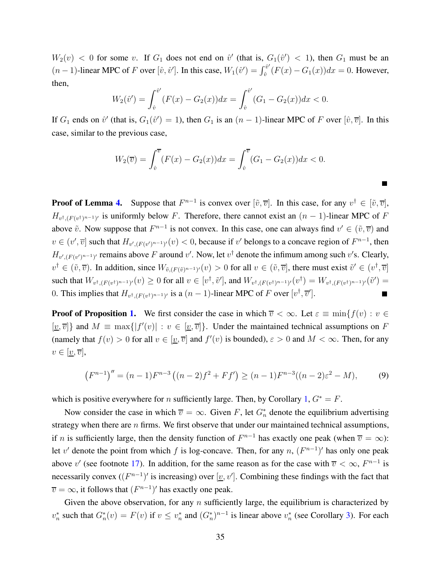$W_2(v) < 0$  for some v. If  $G_1$  does not end on  $\hat{v}'$  (that is,  $G_1(\hat{v}') < 1$ ), then  $G_1$  must be an  $(n-1)$ -linear MPC of F over  $[\hat{v}, \hat{v}']$ . In this case,  $W_1(\hat{v}') = \int_{\hat{v}}^{\hat{v}'}$  $v_v^0$   $(F(x) - G_1(x))dx = 0$ . However, then,

$$
W_2(\hat{v}') = \int_{\hat{v}}^{\hat{v}'} (F(x) - G_2(x)) dx = \int_{\hat{v}}^{\hat{v}'} (G_1 - G_2(x)) dx < 0.
$$

If  $G_1$  ends on  $\hat{v}'$  (that is,  $G_1(\hat{v}') = 1$ ), then  $G_1$  is an  $(n-1)$ -linear MPC of F over  $[\hat{v}, \overline{v}]$ . In this case, similar to the previous case,

$$
W_2(\overline{v}) = \int_{\hat{v}}^{\overline{v}} (F(x) - G_2(x)) dx = \int_{\hat{v}}^{\overline{v}} (G_1 - G_2(x)) dx < 0.
$$

**Proof of Lemma [4.](#page-14-2)** Suppose that  $F^{n-1}$  is convex over  $[\tilde{v}, \overline{v}]$ . In this case, for any  $v^{\dagger} \in [\tilde{v}, \overline{v}]$ ,  $H_{v^{\dagger},(F(v^{\dagger})^{n-1})'}$  is uniformly below F. Therefore, there cannot exist an  $(n-1)$ -linear MPC of F above  $\tilde{v}$ . Now suppose that  $F^{n-1}$  is not convex. In this case, one can always find  $v' \in (\tilde{v}, \overline{v})$  and  $v \in (v', \overline{v}]$  such that  $H_{v', (F(v')^{n-1})'}(v) < 0$ , because if  $v'$  belongs to a concave region of  $F^{n-1}$ , then  $H_{v', (F(v')^{n-1})'}$  remains above F around v'. Now, let  $v^{\dagger}$  denote the infimum among such v's. Clearly,  $v^{\dagger} \in (\tilde{v}, \overline{v})$ . In addition, since  $W_{\tilde{v}, (F(\tilde{v})^{n-1})'}(v) > 0$  for all  $v \in (\tilde{v}, \overline{v})$ , there must exist  $\tilde{v}' \in (v^{\dagger}, \overline{v})$ such that  $W_{v^{\dagger},(F(v^{\dagger})^{n-1})'}(v) \ge 0$  for all  $v \in [v^{\dagger}, \tilde{v}'],$  and  $W_{v^{\dagger},(F(v^{\dagger})^{n-1})'}(v^{\dagger}) = W_{v^{\dagger},(F(v^{\dagger})^{n-1})'}(\tilde{v}') =$ 0. This implies that  $H_{v^{\dagger}, (F(v^{\dagger})^{n-1})'}$  is a  $(n-1)$ -linear MPC of F over  $[v^{\dagger}, \overline{v}']$ .

**Proof of Proposition [1.](#page-17-1)** We first consider the case in which  $\overline{v} < \infty$ . Let  $\varepsilon \equiv \min\{f(v) : v \in \mathbb{R}\}$  $[\underline{v}, \overline{v}]$  and  $M \equiv \max\{|f'(v)| : v \in [\underline{v}, \overline{v}]\}.$  Under the maintained technical assumptions on F (namely that  $f(v) > 0$  for all  $v \in [\underline{v}, \overline{v}]$  and  $f'(v)$  is bounded),  $\varepsilon > 0$  and  $M < \infty$ . Then, for any  $v \in [\underline{v}, \overline{v}],$ 

$$
(F^{n-1})'' = (n-1)F^{n-3}((n-2)f^2 + Ff') \ge (n-1)F^{n-3}((n-2)\varepsilon^2 - M),
$$
 (9)

which is positive everywhere for *n* sufficiently large. Then, by Corollary [1,](#page-8-0)  $G^* = F$ .

Now consider the case in which  $\overline{v} = \infty$ . Given F, let  $G_n^*$  denote the equilibrium advertising strategy when there are  $n$  firms. We first observe that under our maintained technical assumptions, if *n* is sufficiently large, then the density function of  $F^{n-1}$  has exactly one peak (when  $\overline{v} = \infty$ ): let v' denote the point from which f is log-concave. Then, for any  $n, (F^{n-1})'$  has only one peak above v' (see footnote [17\)](#page-17-0). In addition, for the same reason as for the case with  $\overline{v} < \infty$ ,  $F^{n-1}$  is necessarily convex  $((F^{n-1})'$  is increasing) over [ $\underline{v}, v'$ ]. Combining these findings with the fact that  $\overline{v} = \infty$ , it follows that  $(F^{n-1})'$  has exactly one peak.

Given the above observation, for any  $n$  sufficiently large, the equilibrium is characterized by  $v_n^*$  such that  $G_n^*(v) = F(v)$  if  $v \leq v_n^*$  and  $(G_n^*)^{n-1}$  is linear above  $v_n^*$  (see Corollary [3\)](#page-10-1). For each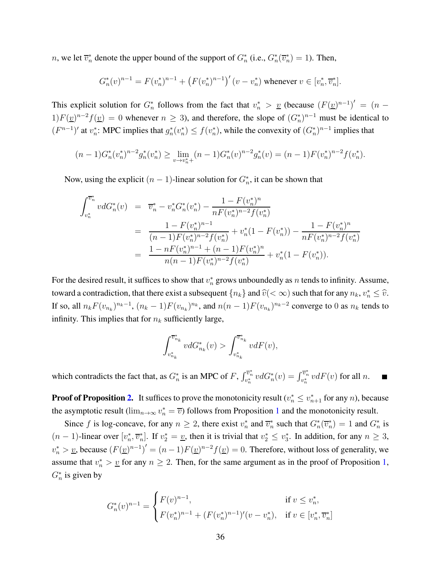*n*, we let  $\overline{v}_n^*$  denote the upper bound of the support of  $G_n^*$  (i.e.,  $G_n^*(\overline{v}_n^*) = 1$ ). Then,

$$
G_n^*(v)^{n-1} = F(v_n^*)^{n-1} + (F(v_n^*)^{n-1})'(v - v_n^*)
$$
 whenever  $v \in [v_n^*, \overline{v}_n^*].$ 

This explicit solution for  $G_n^*$  follows from the fact that  $v_n^* > \underline{v}$  (because  $(F(\underline{v})^{n-1})' = (n 1) F(\underline{v})^{n-2} f(\underline{v}) = 0$  whenever  $n \ge 3$ ), and therefore, the slope of  $(G_n^*)^{n-1}$  must be identical to  $(F^{n-1})'$  at  $v_n^*$ : MPC implies that  $g_n^*(v_n^*) \le f(v_n^*)$ , while the convexity of  $(G_n^*)^{n-1}$  implies that

$$
(n-1)G_n^*(v_n^*)^{n-2}g_n^*(v_n^*) \ge \lim_{v \to v_n^*+} (n-1)G_n^*(v)^{n-2}g_n^*(v) = (n-1)F(v_n^*)^{n-2}f(v_n^*).
$$

Now, using the explicit  $(n-1)$ -linear solution for  $G_n^*$ , it can be shown that

$$
\int_{v_n^*}^{\overline{v}_n^*} v dG_n^*(v) = \overline{v}_n^* - v_n^* G_n^*(v_n^*) - \frac{1 - F(v_n^*)^n}{n F(v_n^*)^{n-2} f(v_n^*)}
$$
\n
$$
= \frac{1 - F(v_n^*)^{n-1}}{(n-1)F(v_n^*)^{n-2} f(v_n^*)} + v_n^* (1 - F(v_n^*)) - \frac{1 - F(v_n^*)^n}{n F(v_n^*)^{n-2} f(v_n^*)}
$$
\n
$$
= \frac{1 - n F(v_n^*)^{n-1} + (n-1)F(v_n^*)^n}{n(n-1)F(v_n^*)^{n-2} f(v_n^*)} + v_n^* (1 - F(v_n^*)).
$$

For the desired result, it suffices to show that  $v_n^*$  grows unboundedly as n tends to infinity. Assume, toward a contradiction, that there exist a subsequent  $\{n_k\}$  and  $\widehat{v}(<\infty)$  such that for any  $n_k$ ,  $v_n^* \leq \widehat{v}$ . If so, all  $n_k F(v_{n_k})^{n_k-1}$ ,  $(n_k-1)F(v_{n_k})^{n_k}$ , and  $n(n-1)F(v_{n_k})^{n_k-2}$  converge to 0 as  $n_k$  tends to infinity. This implies that for  $n_k$  sufficiently large,

$$
\int_{v_{n_k}^*}^{\overline{v}_{n_k}^*} v dG_{n_k}^*(v) > \int_{v_{n_k}^*}^{\overline{v}_{n_k}^*} v dF(v),
$$

which contradicts the fact that, as  $G_n^*$  is an MPC of F,  $\int_{v_n^*}^{\overline{v}_n^*} v dG_n^*(v) = \int_{v_n^*}^{\overline{v}_n^*} v dF(v)$  for all n.  $\blacksquare$ 

**Proof of Proposition [2.](#page-18-2)** It suffices to prove the monotonicity result  $(v_n^* \le v_{n+1}^*$  for any *n*), because the asymptotic result  $(\lim_{n\to\infty} v_n^* = \overline{v})$  follows from Proposition [1](#page-17-1) and the monotonicity result.

Since f is log-concave, for any  $n \ge 2$ , there exist  $v_n^*$  and  $\overline{v}_n^*$  such that  $G_n^*(\overline{v}_n^*) = 1$  and  $G_n^*$  is  $(n-1)$ -linear over  $[v_n^*, \overline{v}_n^*]$ . If  $v_2^* = \underline{v}$ , then it is trivial that  $v_2^* \le v_3^*$ . In addition, for any  $n \ge 3$ ,  $v_n^* > \underline{v}$ , because  $(F(\underline{v})^{n-1})' = (n-1)F(\underline{v})^{n-2}f(\underline{v}) = 0$ . Therefore, without loss of generality, we assume that  $v_n^* > \underline{v}$  for any  $n \geq 2$ . Then, for the same argument as in the proof of Proposition [1,](#page-17-1)  $G_n^*$  is given by

$$
G_n^*(v)^{n-1} = \begin{cases} F(v)^{n-1}, & \text{if } v \le v_n^*, \\ F(v_n^*)^{n-1} + (F(v_n^*)^{n-1})'(v - v_n^*), & \text{if } v \in [v_n^*, \overline{v}_n^*] \end{cases}
$$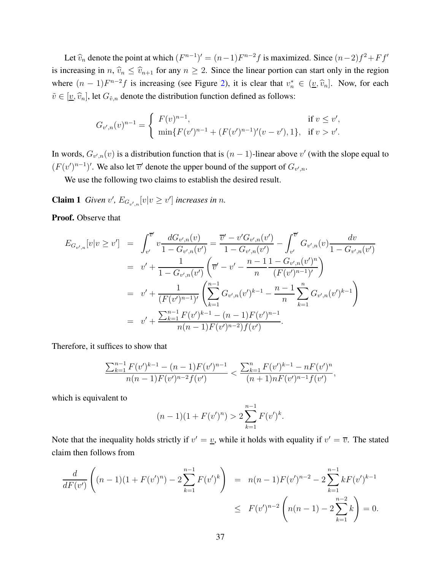Let  $\widehat{v}_n$  denote the point at which  $(F^{n-1})' = (n-1)F^{n-2}f$  is maximized. Since  $(n-2)f^2 + Ff'$ is increasing in  $n, \hat{v}_n \leq \hat{v}_{n+1}$  for any  $n \geq 2$ . Since the linear portion can start only in the region where  $(n-1)F^{n-2}f$  is increasing (see Figure [2\)](#page-9-0), it is clear that  $v_n^* \in (\underline{v}, \widehat{v}_n]$ . Now, for each  $\tilde{v} \in [\underline{v}, \hat{v}_n]$ , let  $G_{\tilde{v},n}$  denote the distribution function defined as follows:

$$
G_{v',n}(v)^{n-1} = \begin{cases} F(v)^{n-1}, & \text{if } v \le v', \\ \min\{F(v')^{n-1} + (F(v')^{n-1})'(v-v'), 1\}, & \text{if } v > v'. \end{cases}
$$

In words,  $G_{v',n}(v)$  is a distribution function that is  $(n-1)$ -linear above  $v'$  (with the slope equal to  $(F(v')^{n-1})'$ . We also let  $\overline{v}'$  denote the upper bound of the support of  $G_{v',n}$ .

<span id="page-36-0"></span>We use the following two claims to establish the desired result.

**Claim 1** *Given*  $v'$ ,  $E_{G_{v',n}}[v|v \geq v']$  *increases in n.* 

Proof. Observe that

$$
E_{G_{v',n}}[v|v \ge v'] = \int_{v'}^{\overline{v}'} v \frac{dG_{v',n}(v)}{1 - G_{v',n}(v')} = \frac{\overline{v}' - v'G_{v',n}(v')}{1 - G_{v',n}(v')} - \int_{v'}^{\overline{v}'} G_{v',n}(v) \frac{dv}{1 - G_{v',n}(v')}
$$
  
\n
$$
= v' + \frac{1}{1 - G_{v',n}(v')} \left(\overline{v}' - v' - \frac{n - 1}{n} \frac{1 - G_{v',n}(v')^n}{(F(v')^{n-1})'}\right)
$$
  
\n
$$
= v' + \frac{1}{(F(v')^{n-1})'} \left(\sum_{k=1}^{n-1} G_{v',n}(v')^{k-1} - \frac{n - 1}{n} \sum_{k=1}^{n} G_{v',n}(v')^{k-1}\right)
$$
  
\n
$$
= v' + \frac{\sum_{k=1}^{n-1} F(v')^{k-1} - (n - 1)F(v')^{n-1}}{n(n-1)F(v')^{n-2}f(v')}.
$$

Therefore, it suffices to show that

$$
\frac{\sum_{k=1}^{n-1} F(v')^{k-1} - (n-1)F(v')^{n-1}}{n(n-1)F(v')^{n-2}f(v')} < \frac{\sum_{k=1}^{n} F(v')^{k-1} - nF(v')^{n}}{(n+1)nF(v')^{n-1}f(v')},
$$

which is equivalent to

$$
(n-1)(1 + F(v')^{n}) > 2\sum_{k=1}^{n-1} F(v')^{k}.
$$

Note that the inequality holds strictly if  $v' = v$ , while it holds with equality if  $v' = \overline{v}$ . The stated claim then follows from

$$
\frac{d}{dF(v')} \left( (n-1)(1 + F(v')^n) - 2 \sum_{k=1}^{n-1} F(v')^k \right) = n(n-1)F(v')^{n-2} - 2 \sum_{k=1}^{n-1} kF(v')^{k-1}
$$
  

$$
\leq F(v')^{n-2} \left( n(n-1) - 2 \sum_{k=1}^{n-2} k \right) = 0.
$$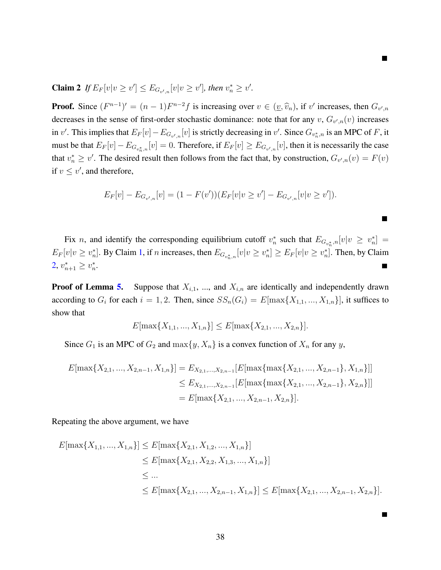<span id="page-37-0"></span>**Claim 2** If  $E_F[v|v \ge v'] \le E_{G_{v',n}}[v|v \ge v']$ , then  $v_n^* \ge v'$ .

**Proof.** Since  $(F^{n-1})' = (n-1)F^{n-2}f$  is increasing over  $v \in (\underline{v}, \hat{v}_n)$ , if v' increases, then  $G_{v',n}$ decreases in the sense of first-order stochastic dominance: note that for any  $v, G_{v',n}(v)$  increases in v'. This implies that  $E_F[v] - E_{G_{v',n}}[v]$  is strictly decreasing in v'. Since  $G_{v_n^*,n}$  is an MPC of F, it must be that  $E_F[v] - E_{G_{v_n^*,n}}[v] = 0$ . Therefore, if  $E_F[v] \ge E_{G_{v',n}}[v]$ , then it is necessarily the case that  $v_n^* \ge v'$ . The desired result then follows from the fact that, by construction,  $G_{v',n}(v) = F(v)$ if  $v \leq v'$ , and therefore,

$$
E_F[v] - E_{G_{v',n}}[v] = (1 - F(v'))(E_F[v]v \ge v'] - E_{G_{v',n}}[v]v \ge v']).
$$

Fix *n*, and identify the corresponding equilibrium cutoff  $v_n^*$  such that  $E_{G_{v_n^*},n}[v|v \ge v_n^*] =$  $E_F[v|v \geq v_n^*]$ . By Claim [1,](#page-36-0) if *n* increases, then  $E_{G_{v_n^*,n}}[v|v \geq v_n^*] \geq E_F[v|v \geq v_n^*]$ . Then, by Claim  $2, v_{n+1}^* \ge v_n^*$  $2, v_{n+1}^* \ge v_n^*$ . Ξ

**Proof of Lemma [5.](#page-21-0)** Suppose that  $X_{i,1}$ , ..., and  $X_{i,n}$  are identically and independently drawn according to  $G_i$  for each  $i = 1, 2$ . Then, since  $SS_n(G_i) = E[\max\{X_{1,1}, ..., X_{1,n}\}]$ , it suffices to show that

$$
E[\max\{X_{1,1},...,X_{1,n}\}] \le E[\max\{X_{2,1},...,X_{2,n}\}].
$$

Since  $G_1$  is an MPC of  $G_2$  and  $\max\{y, X_n\}$  is a convex function of  $X_n$  for any y,

$$
E[\max\{X_{2,1}, ..., X_{2,n-1}, X_{1,n}\}] = E_{X_{2,1}, ..., X_{2,n-1}}[E[\max\{\max\{X_{2,1}, ..., X_{2,n-1}\}, X_{1,n}\}]]
$$
  
\n
$$
\leq E_{X_{2,1}, ..., X_{2,n-1}}[E[\max\{\max\{X_{2,1}, ..., X_{2,n-1}\}, X_{2,n}\}]]
$$
  
\n
$$
= E[\max\{X_{2,1}, ..., X_{2,n-1}, X_{2,n}\}].
$$

Repeating the above argument, we have

$$
E[\max\{X_{1,1}, ..., X_{1,n}\}] \le E[\max\{X_{2,1}, X_{1,2}, ..., X_{1,n}\}]
$$
  
\n
$$
\le E[\max\{X_{2,1}, X_{2,2}, X_{1,3}, ..., X_{1,n}\}]
$$
  
\n
$$
\le ...
$$
  
\n
$$
\le E[\max\{X_{2,1}, ..., X_{2,n-1}, X_{1,n}\}] \le E[\max\{X_{2,1}, ..., X_{2,n-1}, X_{2,n}\}].
$$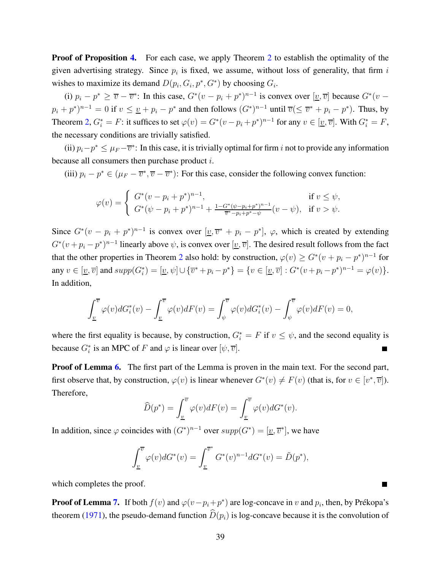**Proof of Proposition [4.](#page-22-1)** For each case, we apply Theorem [2](#page-12-0) to establish the optimality of the given advertising strategy. Since  $p_i$  is fixed, we assume, without loss of generality, that firm  $i$ wishes to maximize its demand  $D(p_i, G_i, p^*, G^*)$  by choosing  $G_i$ .

(i)  $p_i - p^* \ge \overline{v} - \overline{v}^*$ : In this case,  $G^*(v - p_i + p^*)^{n-1}$  is convex over  $[\underline{v}, \overline{v}]$  because  $G^*(v - p_i + p^*)^{n-1}$  $p_i + p^{*}$ )<sup>n-1</sup> = 0 if  $v \leq \underline{v} + p_i - p^{*}$  and then follows  $(G^*)^{n-1}$  until  $\overline{v}$ ( $\leq \overline{v}^{*} + p_i - p^{*}$ ). Thus, by Theorem [2,](#page-12-0)  $G_i^* = F$ : it suffices to set  $\varphi(v) = G^*(v - p_i + p^*)^{n-1}$  for any  $v \in [\underline{v}, \overline{v}]$ . With  $G_i^* = F$ , the necessary conditions are trivially satisfied.

(ii)  $p_i - p^* \leq \mu_F - \overline{v}^*$ : In this case, it is trivially optimal for firm *i* not to provide any information because all consumers then purchase product i.

(iii)  $p_i - p^* \in (\mu_F - \overline{v}^*, \overline{v} - \overline{v}^*)$ : For this case, consider the following convex function:

$$
\varphi(v) = \begin{cases} G^*(v - p_i + p^*)^{n-1}, & \text{if } v \le \psi, \\ G^*(\psi - p_i + p^*)^{n-1} + \frac{1 - G^*(\psi - p_i + p^*)^{n-1}}{\overline{v}^* - p_i + p^* - \psi}(v - \psi), & \text{if } v > \psi. \end{cases}
$$

Since  $G^*(v - p_i + p^*)^{n-1}$  is convex over  $[\underline{v}, \overline{v}^* + p_i - p^*], \varphi$ , which is created by extending  $G^*(v+p_i-p^*)^{n-1}$  linearly above  $\psi$ , is convex over  $[\underline{v}, \overline{v}]$ . The desired result follows from the fact that the other properties in Theorem [2](#page-12-0) also hold: by construction,  $\varphi(v) \geq G^*(v + p_i - p^*)^{n-1}$  for any  $v \in [\underline{v}, \overline{v}]$  and  $supp(G_i^*) = [\underline{v}, \psi] \cup {\overline{v^*} + p_i - p^*} = \{v \in [\underline{v}, \overline{v}] : G^*(v + p_i - p^*)^{n-1} = \varphi(v)\}.$ In addition,

$$
\int_{\underline{v}}^{\overline{v}} \varphi(v) dG_i^*(v) - \int_{\underline{v}}^{\overline{v}} \varphi(v) dF(v) = \int_{\psi}^{\overline{v}} \varphi(v) dG_i^*(v) - \int_{\psi}^{\overline{v}} \varphi(v) dF(v) = 0,
$$

where the first equality is because, by construction,  $G_i^* = F$  if  $v \le \psi$ , and the second equality is because  $G_i^*$  is an MPC of F and  $\varphi$  is linear over  $[\psi, \overline{v}]$ .  $\blacksquare$ 

**Proof of Lemma [6.](#page-26-1)** The first part of the Lemma is proven in the main text. For the second part, first observe that, by construction,  $\varphi(v)$  is linear whenever  $G^*(v) \neq F(v)$  (that is, for  $v \in [v^*, \overline{v}].$ Therefore,

$$
\widehat{D}(p^*) = \int_{\underline{v}}^{\overline{v}} \varphi(v) dF(v) = \int_{\underline{v}}^{\overline{v}} \varphi(v) dG^*(v).
$$

In addition, since  $\varphi$  coincides with  $(G^*)^{n-1}$  over  $supp(G^*) = [\underline{v}, \overline{v}^*]$ , we have

$$
\int_{\underline{v}}^{\overline{v}} \varphi(v) dG^*(v) = \int_{\underline{v}}^{\overline{v}^*} G^*(v)^{n-1} dG^*(v) = \tilde{D}(p^*),
$$

which completes the proof.

**Proof of Lemma [7.](#page-27-2)** If both  $f(v)$  and  $\varphi(v-p_i+p^*)$  are log-concave in v and  $p_i$ , then, by Prékopa's theorem [\(1971\)](#page-45-10), the pseudo-demand function  $\widehat{D}(p_i)$  is log-concave because it is the convolution of

 $\blacksquare$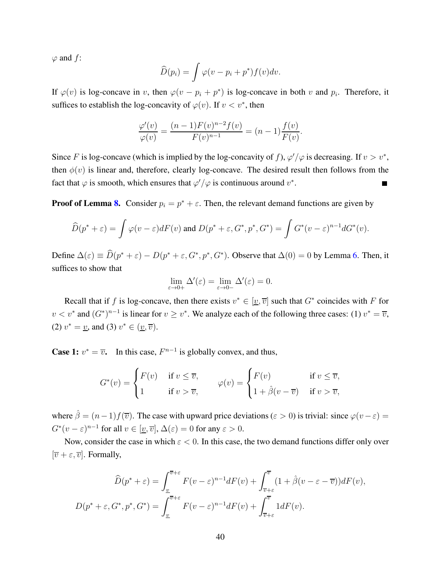$\varphi$  and  $f$ :

$$
\widehat{D}(p_i) = \int \varphi(v - p_i + p^*) f(v) dv.
$$

If  $\varphi(v)$  is log-concave in v, then  $\varphi(v - p_i + p^*)$  is log-concave in both v and  $p_i$ . Therefore, it suffices to establish the log-concavity of  $\varphi(v)$ . If  $v < v^*$ , then

$$
\frac{\varphi'(v)}{\varphi(v)} = \frac{(n-1)F(v)^{n-2}f(v)}{F(v)^{n-1}} = (n-1)\frac{f(v)}{F(v)}.
$$

Since F is log-concave (which is implied by the log-concavity of f),  $\varphi' / \varphi$  is decreasing. If  $v > v^*$ , then  $\phi(v)$  is linear and, therefore, clearly log-concave. The desired result then follows from the fact that  $\varphi$  is smooth, which ensures that  $\varphi'/\varphi$  is continuous around  $v^*$ .  $\blacksquare$ 

**Proof of Lemma [8.](#page-27-3)** Consider  $p_i = p^* + \varepsilon$ . Then, the relevant demand functions are given by

$$
\widehat{D}(p^* + \varepsilon) = \int \varphi(v - \varepsilon) dF(v) \text{ and } D(p^* + \varepsilon, G^*, p^*, G^*) = \int G^*(v - \varepsilon)^{n-1} dG^*(v).
$$

Define  $\Delta(\varepsilon) \equiv \tilde{D}(p^* + \varepsilon) - D(p^* + \varepsilon, G^*, p^*, G^*)$ . Observe that  $\Delta(0) = 0$  by Lemma [6.](#page-26-1) Then, it suffices to show that

$$
\lim_{\varepsilon \to 0+} \Delta'(\varepsilon) = \lim_{\varepsilon \to 0-} \Delta'(\varepsilon) = 0.
$$

Recall that if f is log-concave, then there exists  $v^* \in [\underline{v}, \overline{v}]$  such that  $G^*$  coincides with F for  $v < v^*$  and  $(G^*)^{n-1}$  is linear for  $v \ge v^*$ . We analyze each of the following three cases: (1)  $v^* = \overline{v}$ , (2)  $v^* = \underline{v}$ , and (3)  $v^* \in (\underline{v}, \overline{v})$ .

**Case 1:**  $v^* = \overline{v}$ . In this case,  $F^{n-1}$  is globally convex, and thus,

$$
G^*(v) = \begin{cases} F(v) & \text{if } v \le \overline{v}, \\ 1 & \text{if } v > \overline{v}, \end{cases} \qquad \varphi(v) = \begin{cases} F(v) & \text{if } v \le \overline{v}, \\ 1 + \hat{\beta}(v - \overline{v}) & \text{if } v > \overline{v}, \end{cases}
$$

where  $\hat{\beta} = (n-1)f(\overline{v})$ . The case with upward price deviations ( $\varepsilon > 0$ ) is trivial: since  $\varphi(v-\varepsilon) =$  $G^*(v - \varepsilon)^{n-1}$  for all  $v \in [\underline{v}, \overline{v}], \Delta(\varepsilon) = 0$  for any  $\varepsilon > 0$ .

Now, consider the case in which  $\varepsilon < 0$ . In this case, the two demand functions differ only over  $[\overline{v} + \varepsilon, \overline{v}]$ . Formally,

$$
\widehat{D}(p^* + \varepsilon) = \int_{\underline{v}}^{\overline{v} + \varepsilon} F(v - \varepsilon)^{n-1} dF(v) + \int_{\overline{v} + \varepsilon}^{\overline{v}} (1 + \widehat{\beta}(v - \varepsilon - \overline{v})) dF(v),
$$
  

$$
D(p^* + \varepsilon, G^*, p^*, G^*) = \int_{\underline{v}}^{\overline{v} + \varepsilon} F(v - \varepsilon)^{n-1} dF(v) + \int_{\overline{v} + \varepsilon}^{\overline{v}} 1 dF(v).
$$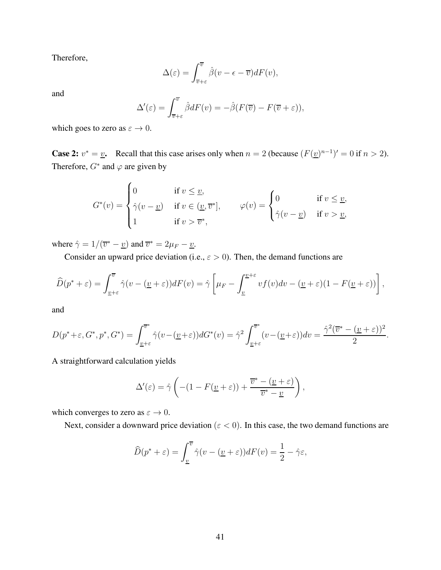Therefore,

$$
\Delta(\varepsilon) = \int_{\overline{v}+\varepsilon}^{\overline{v}} \hat{\beta}(v - \epsilon - \overline{v}) dF(v),
$$

and

$$
\Delta'(\varepsilon) = \int_{\overline{v}+\varepsilon}^{\overline{v}} \hat{\beta} dF(v) = -\hat{\beta}(F(\overline{v}) - F(\overline{v} + \varepsilon)),
$$

which goes to zero as  $\varepsilon \to 0$ .

**Case 2:**  $v^* = v$ . Recall that this case arises only when  $n = 2$  (because  $(F(v)^{n-1})' = 0$  if  $n > 2$ ). Therefore,  $G^*$  and  $\varphi$  are given by

$$
G^*(v) = \begin{cases} 0 & \text{if } v \leq \underline{v}, \\ \hat{\gamma}(v - \underline{v}) & \text{if } v \in (\underline{v}, \overline{v}^*], \\ 1 & \text{if } v > \overline{v}^*, \end{cases} \qquad \varphi(v) = \begin{cases} 0 & \text{if } v \leq \underline{v}, \\ \hat{\gamma}(v - \underline{v}) & \text{if } v > \underline{v}, \end{cases}
$$

where  $\hat{\gamma} = 1/(\overline{v^*} - \underline{v})$  and  $\overline{v^*} = 2\mu_F - \underline{v}$ .

Consider an upward price deviation (i.e.,  $\varepsilon > 0$ ). Then, the demand functions are

$$
\widehat{D}(p^* + \varepsilon) = \int_{\underline{v} + \varepsilon}^{\overline{v}} \widehat{\gamma}(v - (\underline{v} + \varepsilon))dF(v) = \widehat{\gamma}\left[\mu_F - \int_{\underline{v}}^{\underline{v} + \varepsilon} vf(v)dv - (\underline{v} + \varepsilon)(1 - F(\underline{v} + \varepsilon))\right],
$$

and

$$
D(p^* + \varepsilon, G^*, p^*, G^*) = \int_{\underline{v}+\varepsilon}^{\overline{v}^*} \hat{\gamma}(v - (\underline{v}+\varepsilon))dG^*(v) = \hat{\gamma}^2 \int_{\underline{v}+\varepsilon}^{\overline{v}^*} (v - (\underline{v}+\varepsilon))dv = \frac{\hat{\gamma}^2(\overline{v}^* - (\underline{v}+\varepsilon))^2}{2}.
$$

A straightforward calculation yields

$$
\Delta'(\varepsilon) = \hat{\gamma} \left( -(1 - F(\underline{v} + \varepsilon)) + \frac{\overline{v}^* - (\underline{v} + \varepsilon)}{\overline{v}^* - \underline{v}} \right),
$$

which converges to zero as  $\varepsilon \to 0$ .

Next, consider a downward price deviation ( $\varepsilon$  < 0). In this case, the two demand functions are

$$
\widehat{D}(p^* + \varepsilon) = \int_{\underline{v}}^{\overline{v}} \widehat{\gamma}(v - (\underline{v} + \varepsilon))dF(v) = \frac{1}{2} - \widehat{\gamma}\varepsilon,
$$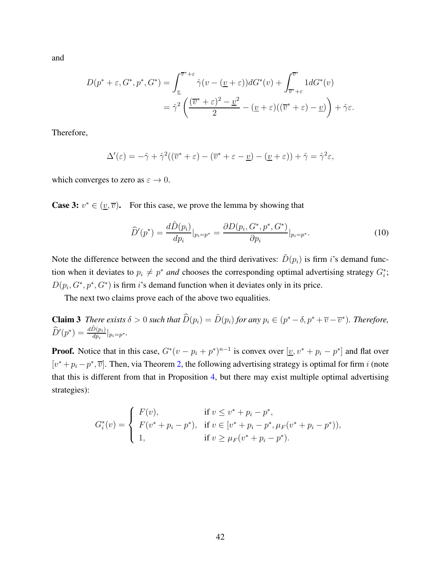and

$$
D(p^* + \varepsilon, G^*, p^*, G^*) = \int_{\underline{v}}^{\overline{v}^* + \varepsilon} \hat{\gamma}(v - (\underline{v} + \varepsilon)) dG^*(v) + \int_{\overline{v}^* + \varepsilon}^{\overline{v}^*} 1 dG^*(v)
$$
  
= 
$$
\hat{\gamma}^2 \left( \frac{(\overline{v}^* + \varepsilon)^2 - \underline{v}^2}{2} - (\underline{v} + \varepsilon)((\overline{v}^* + \varepsilon) - \underline{v}) \right) + \hat{\gamma} \varepsilon.
$$

Therefore,

$$
\Delta'(\varepsilon) = -\hat{\gamma} + \hat{\gamma}^2((\overline{v}^* + \varepsilon) - (\overline{v}^* + \varepsilon - \underline{v}) - (\underline{v} + \varepsilon)) + \hat{\gamma} = \hat{\gamma}^2 \varepsilon,
$$

which converges to zero as  $\varepsilon \to 0$ .

**Case 3:**  $v^* \in (\underline{v}, \overline{v})$ . For this case, we prove the lemma by showing that

<span id="page-41-1"></span>
$$
\widehat{D}'(p^*) = \frac{d\widehat{D}(p_i)}{dp_i}|_{p_i = p^*} = \frac{\partial D(p_i, G^*, p^*, G^*)}{\partial p_i}|_{p_i = p^*}.
$$
\n(10)

Note the difference between the second and the third derivatives:  $\tilde{D}(p_i)$  is firm i's demand function when it deviates to  $p_i \neq p^*$  *and* chooses the corresponding optimal advertising strategy  $G_i^*$ ;  $D(p_i, G^*, p^*, G^*)$  is firm i's demand function when it deviates only in its price.

<span id="page-41-0"></span>The next two claims prove each of the above two equalities.

**Claim 3** *There exists*  $\delta > 0$  *such that*  $\widehat{D}(p_i) = \widetilde{D}(p_i)$  *for any*  $p_i \in (p^* - \delta, p^* + \overline{v} - \overline{v}^*)$ *. Therefore,*  $\widehat{D}'(p^*) = \frac{d\tilde{D}(p_i)}{dp_i}|_{p_i=p^*}.$ 

**Proof.** Notice that in this case,  $G^*(v - p_i + p^*)^{n-1}$  is convex over  $[\underline{v}, v^* + p_i - p^*]$  and flat over  $[v^* + p_i - p^*, \overline{v}]$ . Then, via Theorem [2,](#page-12-0) the following advertising strategy is optimal for firm i (note that this is different from that in Proposition [4,](#page-22-1) but there may exist multiple optimal advertising strategies):

$$
G_i^*(v) = \begin{cases} F(v), & \text{if } v \le v^* + p_i - p^*, \\ F(v^* + p_i - p^*), & \text{if } v \in [v^* + p_i - p^*, \mu_F(v^* + p_i - p^*)), \\ 1, & \text{if } v \ge \mu_F(v^* + p_i - p^*). \end{cases}
$$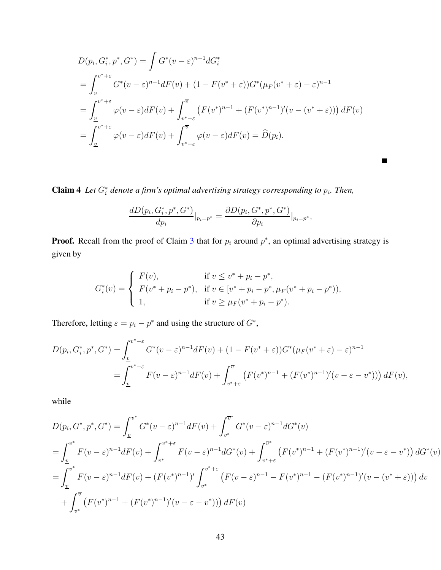$$
D(p_i, G_i^*, p^*, G^*) = \int G^*(v - \varepsilon)^{n-1} dG_i^*
$$
  
= 
$$
\int_{\frac{v}{2}}^{v^*+\varepsilon} G^*(v - \varepsilon)^{n-1} dF(v) + (1 - F(v^* + \varepsilon))G^*(\mu_F(v^* + \varepsilon) - \varepsilon)^{n-1}
$$
  
= 
$$
\int_{\frac{v}{2}}^{v^*+\varepsilon} \varphi(v - \varepsilon) dF(v) + \int_{v^*+\varepsilon}^{\overline{v}} (F(v^*)^{n-1} + (F(v^*)^{n-1})'(v - (v^* + \varepsilon))) dF(v)
$$
  
= 
$$
\int_{\frac{v}{2}}^{v^*+\varepsilon} \varphi(v - \varepsilon) dF(v) + \int_{v^*+\varepsilon}^{\overline{v}} \varphi(v - \varepsilon) dF(v) = \widehat{D}(p_i).
$$

 $\blacksquare$ 

**Claim 4** Let  $G_i^*$  denote a firm's optimal advertising strategy corresponding to  $p_i$ . Then,

$$
\frac{dD(p_i, G_i^*, p^*, G^*)}{dp_i}|_{p_i=p^*} = \frac{\partial D(p_i, G^*, p^*, G^*)}{\partial p_i}|_{p_i=p^*},
$$

**Proof.** Recall from the proof of Claim [3](#page-41-0) that for  $p_i$  around  $p^*$ , an optimal advertising strategy is given by

$$
G_i^*(v) = \begin{cases} F(v), & \text{if } v \le v^* + p_i - p^*, \\ F(v^* + p_i - p^*), & \text{if } v \in [v^* + p_i - p^*, \mu_F(v^* + p_i - p^*)), \\ 1, & \text{if } v \ge \mu_F(v^* + p_i - p^*). \end{cases}
$$

Therefore, letting  $\varepsilon = p_i - p^*$  and using the structure of  $G^*$ ,

$$
D(p_i, G_i^*, p^*, G^*) = \int_{\underline{v}}^{v^*+\varepsilon} G^*(v-\varepsilon)^{n-1} dF(v) + (1 - F(v^*+\varepsilon))G^*(\mu_F(v^*+\varepsilon)-\varepsilon)^{n-1}
$$
  
= 
$$
\int_{\underline{v}}^{v^*+\varepsilon} F(v-\varepsilon)^{n-1} dF(v) + \int_{v^*+\varepsilon}^{\overline{v}} \left( F(v^*)^{n-1} + (F(v^*)^{n-1})'(v-\varepsilon-v^*) \right) dF(v),
$$

while

$$
D(p_i, G^*, p^*, G^*) = \int_{\underline{v}}^{v^*} G^*(v - \varepsilon)^{n-1} dF(v) + \int_{v^*}^{\overline{v}^*} G^*(v - \varepsilon)^{n-1} dG^*(v)
$$
  
\n
$$
= \int_{\underline{v}}^{v^*} F(v - \varepsilon)^{n-1} dF(v) + \int_{v^*}^{v^* + \varepsilon} F(v - \varepsilon)^{n-1} dG^*(v) + \int_{v^* + \varepsilon}^{\overline{v}^*} (F(v^*)^{n-1} + (F(v^*)^{n-1})'(v - \varepsilon - v^*)) dG^*(v)
$$
  
\n
$$
= \int_{\underline{v}}^{v^*} F(v - \varepsilon)^{n-1} dF(v) + (F(v^*)^{n-1})' \int_{v^*}^{v^* + \varepsilon} (F(v - \varepsilon)^{n-1} - F(v^*)^{n-1} - (F(v^*)^{n-1})'(v - (v^* + \varepsilon))) dv
$$
  
\n
$$
+ \int_{v^*}^{\overline{v}} (F(v^*)^{n-1} + (F(v^*)^{n-1})'(v - \varepsilon - v^*)) dF(v)
$$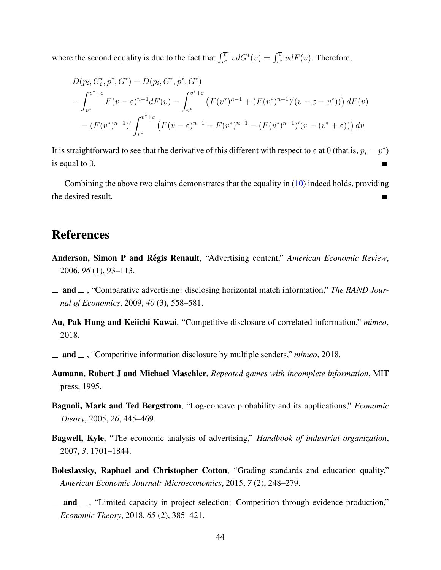where the second equality is due to the fact that  $\int_{v^*}^{\overline{v}^*}$  $\overline{v^*}_{v^*} \ v dG^*(v) = \int_{v^*}^{\overline{v}} v dF(v)$ . Therefore,

$$
D(p_i, G_i^*, p^*, G^*) - D(p_i, G^*, p^*, G^*)
$$
  
= 
$$
\int_{v^*}^{v^*+\varepsilon} F(v-\varepsilon)^{n-1} dF(v) - \int_{v^*}^{v^*+\varepsilon} (F(v^*)^{n-1} + (F(v^*)^{n-1})'(v-\varepsilon-v^*)) dF(v)
$$
  

$$
- (F(v^*)^{n-1})' \int_{v^*}^{v^*+\varepsilon} (F(v-\varepsilon)^{n-1} - F(v^*)^{n-1} - (F(v^*)^{n-1})'(v-(v^*+\varepsilon))) dv
$$

It is straightforward to see that the derivative of this different with respect to  $\varepsilon$  at 0 (that is,  $p_i = p^*$ ) is equal to 0. П

Combining the above two claims demonstrates that the equality in [\(10\)](#page-41-1) indeed holds, providing the desired result.  $\blacksquare$ 

## References

- <span id="page-43-1"></span>Anderson, Simon P and Régis Renault, "Advertising content," *American Economic Review*, 2006, *96* (1), 93–113.
- <span id="page-43-2"></span>- and <sub>-</sub>, "Comparative advertising: disclosing horizontal match information," *The RAND Journal of Economics*, 2009, *40* (3), 558–581.
- <span id="page-43-5"></span>Au, Pak Hung and Keiichi Kawai, "Competitive disclosure of correlated information," *mimeo*, 2018.
- <span id="page-43-6"></span> $\Box$  and  $\Box$ , "Competitive information disclosure by multiple senders," *mimeo*, 2018.
- <span id="page-43-7"></span>Aumann, Robert J and Michael Maschler, *Repeated games with incomplete information*, MIT press, 1995.
- <span id="page-43-8"></span>Bagnoli, Mark and Ted Bergstrom, "Log-concave probability and its applications," *Economic Theory*, 2005, *26*, 445–469.
- <span id="page-43-0"></span>Bagwell, Kyle, "The economic analysis of advertising," *Handbook of industrial organization*, 2007, *3*, 1701–1844.
- <span id="page-43-3"></span>Boleslavsky, Raphael and Christopher Cotton, "Grading standards and education quality," *American Economic Journal: Microeconomics*, 2015, *7* (2), 248–279.
- <span id="page-43-4"></span> $-$  and  $-$ , "Limited capacity in project selection: Competition through evidence production," *Economic Theory*, 2018, *65* (2), 385–421.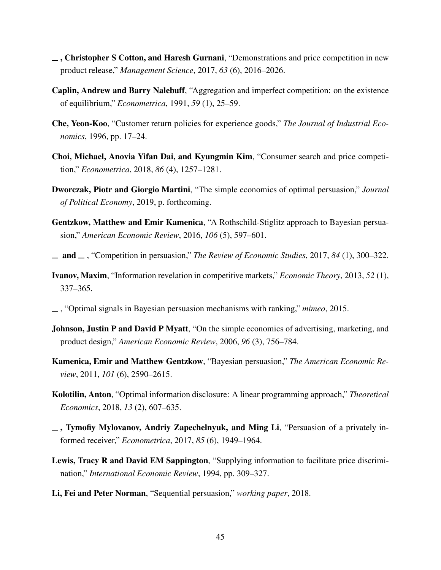- <span id="page-44-4"></span>, Christopher S Cotton, and Haresh Gurnani, "Demonstrations and price competition in new product release," *Management Science*, 2017, *63* (6), 2016–2026.
- <span id="page-44-6"></span>Caplin, Andrew and Barry Nalebuff, "Aggregation and imperfect competition: on the existence of equilibrium," *Econometrica*, 1991, *59* (1), 25–59.
- <span id="page-44-2"></span>Che, Yeon-Koo, "Customer return policies for experience goods," *The Journal of Industrial Economics*, 1996, pp. 17–24.
- <span id="page-44-14"></span>Choi, Michael, Anovia Yifan Dai, and Kyungmin Kim, "Consumer search and price competition," *Econometrica*, 2018, *86* (4), 1257–1281.
- <span id="page-44-9"></span>Dworczak, Piotr and Giorgio Martini, "The simple economics of optimal persuasion," *Journal of Political Economy*, 2019, p. forthcoming.
- <span id="page-44-11"></span>Gentzkow, Matthew and Emir Kamenica, "A Rothschild-Stiglitz approach to Bayesian persuasion," *American Economic Review*, 2016, *106* (5), 597–601.
- <span id="page-44-7"></span>and , "Competition in persuasion," *The Review of Economic Studies*, 2017, *84* (1), 300–322.
- <span id="page-44-5"></span>Ivanov, Maxim, "Information revelation in competitive markets," *Economic Theory*, 2013, *52* (1), 337–365.
- <span id="page-44-12"></span>, "Optimal signals in Bayesian persuasion mechanisms with ranking," *mimeo*, 2015.
- <span id="page-44-3"></span>Johnson, Justin P and David P Myatt, "On the simple economics of advertising, marketing, and product design," *American Economic Review*, 2006, *96* (3), 756–784.
- <span id="page-44-10"></span>Kamenica, Emir and Matthew Gentzkow, "Bayesian persuasion," *The American Economic Review*, 2011, *101* (6), 2590–2615.
- <span id="page-44-0"></span>Kolotilin, Anton, "Optimal information disclosure: A linear programming approach," *Theoretical Economics*, 2018, *13* (2), 607–635.
- <span id="page-44-13"></span>, Tymofiy Mylovanov, Andriy Zapechelnyuk, and Ming Li, "Persuasion of a privately informed receiver," *Econometrica*, 2017, *85* (6), 1949–1964.
- <span id="page-44-1"></span>Lewis, Tracy R and David EM Sappington, "Supplying information to facilitate price discrimination," *International Economic Review*, 1994, pp. 309–327.
- <span id="page-44-8"></span>Li, Fei and Peter Norman, "Sequential persuasion," *working paper*, 2018.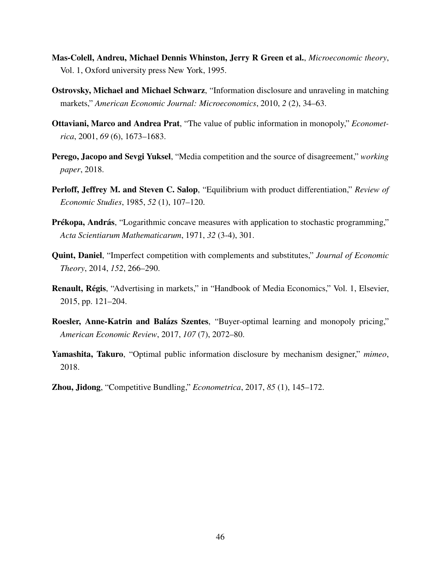- <span id="page-45-9"></span>Mas-Colell, Andreu, Michael Dennis Whinston, Jerry R Green et al., *Microeconomic theory*, Vol. 1, Oxford university press New York, 1995.
- <span id="page-45-6"></span>Ostrovsky, Michael and Michael Schwarz, "Information disclosure and unraveling in matching markets," *American Economic Journal: Microeconomics*, 2010, *2* (2), 34–63.
- <span id="page-45-3"></span>Ottaviani, Marco and Andrea Prat, "The value of public information in monopoly," *Econometrica*, 2001, *69* (6), 1673–1683.
- <span id="page-45-5"></span>Perego, Jacopo and Sevgi Yuksel, "Media competition and the source of disagreement," *working paper*, 2018.
- <span id="page-45-1"></span>Perloff, Jeffrey M. and Steven C. Salop, "Equilibrium with product differentiation," *Review of Economic Studies*, 1985, *52* (1), 107–120.
- <span id="page-45-10"></span>**Prékopa, András, "Logarithmic concave measures with application to stochastic programming,"** *Acta Scientiarum Mathematicarum*, 1971, *32* (3-4), 301.
- <span id="page-45-4"></span>Quint, Daniel, "Imperfect competition with complements and substitutes," *Journal of Economic Theory*, 2014, *152*, 266–290.
- <span id="page-45-0"></span>Renault, Régis, "Advertising in markets," in "Handbook of Media Economics," Vol. 1, Elsevier, 2015, pp. 121–204.
- <span id="page-45-2"></span>Roesler, Anne-Katrin and Balázs Szentes, "Buyer-optimal learning and monopoly pricing," *American Economic Review*, 2017, *107* (7), 2072–80.
- <span id="page-45-7"></span>Yamashita, Takuro, "Optimal public information disclosure by mechanism designer," *mimeo*, 2018.
- <span id="page-45-8"></span>Zhou, Jidong, "Competitive Bundling," *Econometrica*, 2017, *85* (1), 145–172.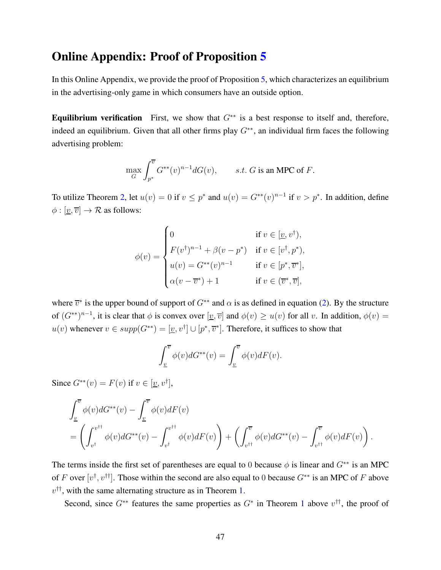### Online Appendix: Proof of Proposition [5](#page-28-1)

In this Online Appendix, we provide the proof of Proposition [5,](#page-28-1) which characterizes an equilibrium in the advertising-only game in which consumers have an outside option.

Equilibrium verification First, we show that  $G^{**}$  is a best response to itself and, therefore, indeed an equilibrium. Given that all other firms play  $G<sup>**</sup>$ , an individual firm faces the following advertising problem:

$$
\max_{G} \int_{p^*}^{\overline{v}} G^{**}(v)^{n-1} dG(v), \qquad s.t. \ G \text{ is an MPC of } F.
$$

To utilize Theorem [2,](#page-12-0) let  $u(v) = 0$  if  $v \le p^*$  and  $u(v) = G^{**}(v)^{n-1}$  if  $v > p^*$ . In addition, define  $\phi : [v, \overline{v}] \rightarrow \mathcal{R}$  as follows:

$$
\phi(v) = \begin{cases}\n0 & \text{if } v \in [\underline{v}, v^{\dagger}), \\
F(v^{\dagger})^{n-1} + \beta(v - p^*) & \text{if } v \in [v^{\dagger}, p^*), \\
u(v) = G^{**}(v)^{n-1} & \text{if } v \in [p^*, \overline{v}^*], \\
\alpha(v - \overline{v}^*) + 1 & \text{if } v \in (\overline{v}^*, \overline{v}],\n\end{cases}
$$

where  $\overline{v}^*$  is the upper bound of support of  $G^{**}$  and  $\alpha$  is as defined in equation [\(2\)](#page-12-1). By the structure of  $(G^{**})^{n-1}$ , it is clear that  $\phi$  is convex over  $[\underline{v}, \overline{v}]$  and  $\phi(v) \ge u(v)$  for all v. In addition,  $\phi(v) =$  $u(v)$  whenever  $v \in supp(G^{**}) = [\underline{v}, v^{\dagger}] \cup [p^*, \overline{v}^*]$ . Therefore, it suffices to show that

$$
\int_{\underline{v}}^{\overline{v}} \phi(v) dG^{**}(v) = \int_{\underline{v}}^{\overline{v}} \phi(v) dF(v).
$$

Since  $G^{**}(v) = F(v)$  if  $v \in [\underline{v}, v^{\dagger}],$ 

$$
\int_{\underline{v}}^{\overline{v}} \phi(v) dG^{**}(v) - \int_{\underline{v}}^{\overline{v}} \phi(v) dF(v) \n= \left( \int_{v^{\dagger}}^{v^{\dagger \dagger}} \phi(v) dG^{**}(v) - \int_{v^{\dagger}}^{v^{\dagger \dagger}} \phi(v) dF(v) \right) + \left( \int_{v^{\dagger \dagger}}^{\overline{v}} \phi(v) dG^{**}(v) - \int_{v^{\dagger \dagger}}^{\overline{v}} \phi(v) dF(v) \right).
$$

The terms inside the first set of parentheses are equal to 0 because  $\phi$  is linear and  $G^{**}$  is an MPC of F over  $[v^{\dagger}, v^{\dagger \dagger}]$ . Those within the second are also equal to 0 because  $G^{**}$  is an MPC of F above  $v^{\dagger \dagger}$ , with the same alternating structure as in Theorem [1.](#page-8-3)

Second, since  $G^{**}$  features the same properties as  $G^*$  in Theorem [1](#page-8-3) above  $v^{\dagger}$ , the proof of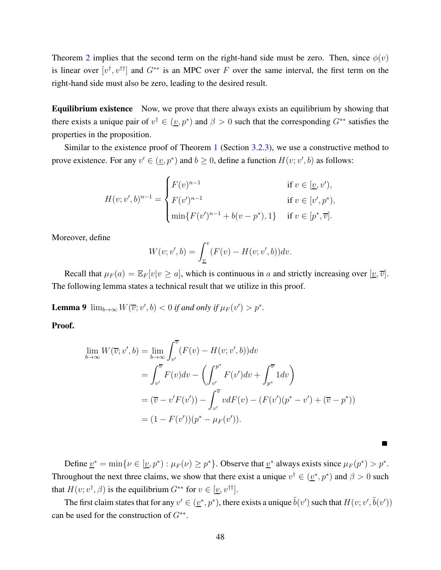Theorem [2](#page-12-0) implies that the second term on the right-hand side must be zero. Then, since  $\phi(v)$ is linear over  $[v^{\dagger}, v^{\dagger}]$  and  $G^{**}$  is an MPC over F over the same interval, the first term on the right-hand side must also be zero, leading to the desired result.

Equilibrium existence Now, we prove that there always exists an equilibrium by showing that there exists a unique pair of  $v^{\dagger} \in (\underline{v}, p^*)$  and  $\beta > 0$  such that the corresponding  $G^{**}$  satisfies the properties in the proposition.

Similar to the existence proof of Theorem [1](#page-8-3) (Section  $3.2.3$ ), we use a constructive method to prove existence. For any  $v' \in (\underline{v}, p^*)$  and  $b \ge 0$ , define a function  $H(v; v', b)$  as follows:

$$
H(v; v', b)^{n-1} = \begin{cases} F(v)^{n-1} & \text{if } v \in [\underline{v}, v'), \\ F(v')^{n-1} & \text{if } v \in [v', p^*), \\ \min\{F(v')^{n-1} + b(v - p^*), 1\} & \text{if } v \in [p^*, \overline{v}]. \end{cases}
$$

Moreover, define

$$
W(v; v', b) = \int_{\underline{v}}^{v} (F(v) - H(v; v', b)) dv.
$$

<span id="page-47-0"></span>Recall that  $\mu_F(a) = \mathbb{E}_F[v|v \ge a]$ , which is continuous in a and strictly increasing over  $[v, \overline{v}]$ . The following lemma states a technical result that we utilize in this proof.

**Lemma 9**  $\lim_{b\to\infty} W(\overline{v}; v', b) < 0$  *if and only if*  $\mu_F(v') > p^*$ .

Proof.

$$
\lim_{b \to \infty} W(\overline{v}; v', b) = \lim_{b \to \infty} \int_{v'}^{\overline{v}} (F(v) - H(v; v', b)) dv
$$
  
= 
$$
\int_{v'}^{\overline{v}} F(v) dv - \left( \int_{v'}^{p^*} F(v') dv + \int_{p^*}^{\overline{v}} 1 dv \right)
$$
  
= 
$$
(\overline{v} - v' F(v')) - \int_{v'}^{\overline{v}} v dF(v) - (F(v')(p^* - v') + (\overline{v} - p^*))
$$
  
= 
$$
(1 - F(v'))(p^* - \mu_F(v')).
$$

Define  $\underline{v}^* = \min \{ \nu \in [\underline{v}, p^*): \mu_F(\nu) \geq p^* \}.$  Observe that  $\underline{v}^*$  always exists since  $\mu_F(p^*) > p^*$ . Throughout the next three claims, we show that there exist a unique  $v^{\dagger} \in (\underline{v}^*, p^*)$  and  $\beta > 0$  such that  $H(v; v^{\dagger}, \beta)$  is the equilibrium  $G^{**}$  for  $v \in [\underline{v}, v^{\dagger \dagger}]$ .

П

<span id="page-47-1"></span>The first claim states that for any  $v' \in (\underline{v}^*, p^*)$ , there exists a unique  $\tilde{b}(v')$  such that  $H(v; v', \tilde{b}(v'))$ can be used for the construction of  $G^{**}$ .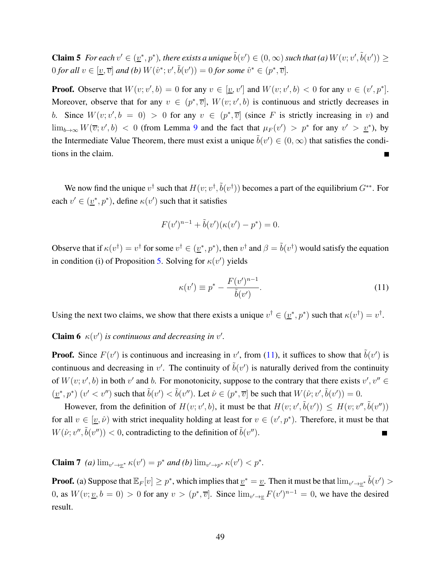**Claim 5** For each  $v' \in (\underline{v}^*, p^*)$ , there exists a unique  $\tilde{b}(v') \in (0, \infty)$  such that (a)  $W(v; v', \tilde{b}(v')) \ge$  $0$  for all  $v \in [\underline{v}, \overline{v}]$  and (b)  $W(\hat{v}^*; v', \tilde{b}(v')) = 0$  for some  $\hat{v}^* \in (p^*, \overline{v}]$ .

**Proof.** Observe that  $W(v; v', b) = 0$  for any  $v \in [\underline{v}, v']$  and  $W(v; v', b) < 0$  for any  $v \in (v', p^*]$ . Moreover, observe that for any  $v \in (p^*, \overline{v}]$ ,  $W(v; v', b)$  is continuous and strictly decreases in b. Since  $W(v; v', b = 0) > 0$  for any  $v \in (p^*, \overline{v}]$  (since F is strictly increasing in v) and  $\lim_{b\to\infty} W(\overline{v};v',b)$  < 0 (from Lemma [9](#page-47-0) and the fact that  $\mu_F(v') > p^*$  for any  $v' > \underline{v}^*$ ), by the Intermediate Value Theorem, there must exist a unique  $\tilde{b}(v') \in (0, \infty)$  that satisfies the conditions in the claim.

We now find the unique  $v^{\dagger}$  such that  $H(v; v^{\dagger}, \tilde{b}(v^{\dagger}))$  becomes a part of the equilibrium  $G^{**}$ . For each  $v' \in (\underline{v}^*, p^*)$ , define  $\kappa(v')$  such that it satisfies

$$
F(v')^{n-1} + \tilde{b}(v')(\kappa(v') - p^*) = 0.
$$

Observe that if  $\kappa(v^{\dagger}) = v^{\dagger}$  for some  $v^{\dagger} \in (\underline{v}^*, p^*)$ , then  $v^{\dagger}$  and  $\beta = \tilde{b}(v^{\dagger})$  would satisfy the equation in condition (i) of Proposition [5.](#page-28-1) Solving for  $\kappa(v')$  yields

<span id="page-48-1"></span><span id="page-48-0"></span>
$$
\kappa(v') \equiv p^* - \frac{F(v')^{n-1}}{\tilde{b}(v')}.
$$
\n(11)

Using the next two claims, we show that there exists a unique  $v^{\dagger} \in (\underline{v}^*, p^*)$  such that  $\kappa(v^{\dagger}) = v^{\dagger}$ .

**Claim 6**  $\kappa(v')$  is continuous and decreasing in v'.

**Proof.** Since  $F(v')$  is continuous and increasing in v', from [\(11\)](#page-48-0), it suffices to show that  $\tilde{b}(v')$  is continuous and decreasing in v'. The continuity of  $\tilde{b}(v')$  is naturally derived from the continuity of  $W(v; v', b)$  in both  $v'$  and  $b$ . For monotonicity, suppose to the contrary that there exists  $v', v'' \in$  $(\underline{v}^*, p^*)$   $(v' < v'')$  such that  $\tilde{b}(v') < \tilde{b}(v'')$ . Let  $\hat{\nu} \in (p^*, \overline{v}]$  be such that  $W(\hat{\nu}; v', \tilde{b}(v')) = 0$ .

However, from the definition of  $H(v; v', b)$ , it must be that  $H(v; v', \tilde{b}(v')) \leq H(v; v'', \tilde{b}(v''))$ for all  $v \in [\underline{v}, \hat{\nu})$  with strict inequality holding at least for  $v \in (v', p^*)$ . Therefore, it must be that  $W(\hat{\nu}; v'', \tilde{b}(v'')) < 0$ , contradicting to the definition of  $\tilde{b}(v'')$ .  $\blacksquare$ 

<span id="page-48-2"></span>**Claim 7** *(a)*  $\lim_{v' \to v^*} \kappa(v') = p^*$  *and (b)*  $\lim_{v' \to p^*} \kappa(v') < p^*$ .

**Proof.** (a) Suppose that  $\mathbb{E}_F[v] \geq p^*$ , which implies that  $\underline{v}^* = \underline{v}$ . Then it must be that  $\lim_{v' \to \underline{v}^*} \tilde{b}(v') > 0$ 0, as  $W(v; \underline{v}, b = 0) > 0$  for any  $v > (p^*, \overline{v}]$ . Since  $\lim_{v' \to \underline{v}} F(v')^{n-1} = 0$ , we have the desired result.